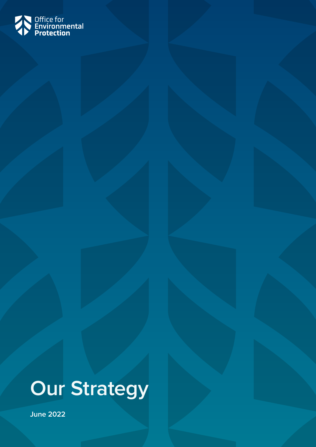

# **Our Strategy**

**June 2022**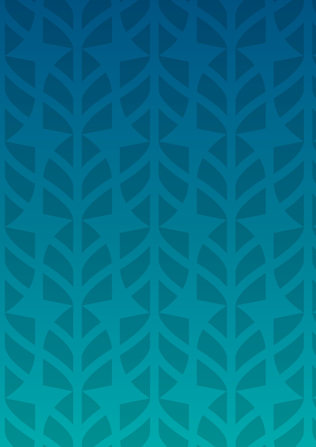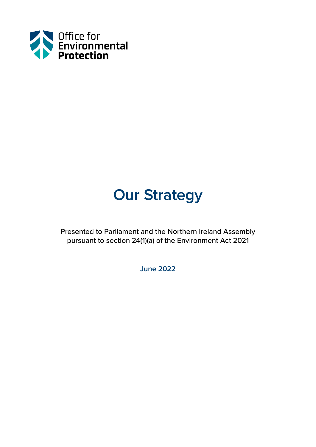

# **Our Strategy**

Presented to Parliament and the Northern Ireland Assembly pursuant to section 24(1)(a) of the Environment Act 2021

**June 2022**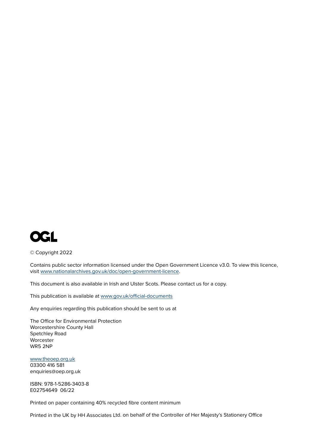

© Copyright 2022

Contains public sector information licensed under the Open Government Licence v3.0. To view this licence, visit [www.nationalarchives.gov.uk/doc/open-government-licence](http://www.nationalarchives.gov.uk/doc/open-government-licence).

This document is also available in Irish and Ulster Scots. Please contact us for a copy.

This publication is available at [www.gov.uk/official-documents](http://www.gov.uk/official-documents)

Any enquiries regarding this publication should be sent to us at

The Office for Environmental Protection Worcestershire County Hall Spetchley Road **Worcester** WR5 2NP

[www.theoep.org.uk](http://www.theoep.org.uk) 03300 416 581 [enquiries@oep.org.uk](mailto:enquiries%40oep.org.uk?subject=)

ISBN: 978-1-5286-3403-8 E02754649 06/22

Printed on paper containing 40% recycled fibre content minimum

Printed in the UK by HH Associates Ltd. on behalf of the Controller of Her Majesty's Stationery Office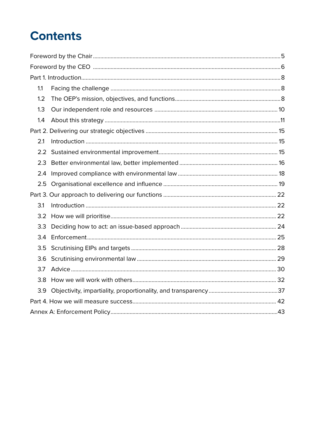# **Contents**

| 1.1           |  |  |  |
|---------------|--|--|--|
| 1.2           |  |  |  |
| 1.3           |  |  |  |
| 1.4           |  |  |  |
|               |  |  |  |
| 2.1           |  |  |  |
| $2.2^{\circ}$ |  |  |  |
| 2.3           |  |  |  |
| 2.4           |  |  |  |
|               |  |  |  |
|               |  |  |  |
| 3.1           |  |  |  |
| 3.2           |  |  |  |
| 3.3           |  |  |  |
| 3.4           |  |  |  |
| 3.5           |  |  |  |
| 3.6           |  |  |  |
| 3.7           |  |  |  |
| 3.8           |  |  |  |
| 3.9           |  |  |  |
|               |  |  |  |
|               |  |  |  |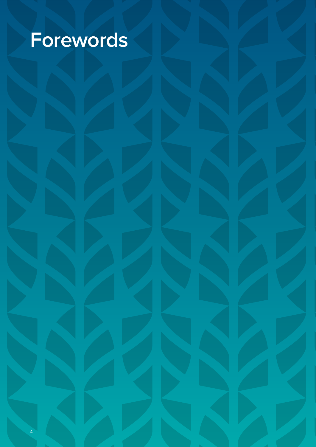# **Forewords**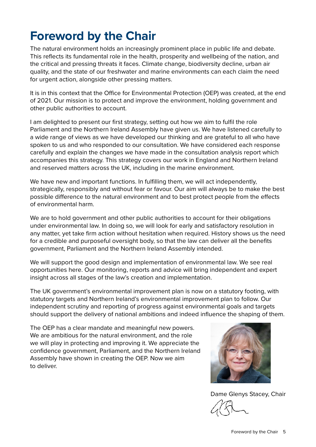# <span id="page-6-0"></span>**Foreword by the Chair**

The natural environment holds an increasingly prominent place in public life and debate. This reflects its fundamental role in the health, prosperity and wellbeing of the nation, and the critical and pressing threats it faces. Climate change, biodiversity decline, urban air quality, and the state of our freshwater and marine environments can each claim the need for urgent action, alongside other pressing matters.

It is in this context that the Office for Environmental Protection (OEP) was created, at the end of 2021. Our mission is to protect and improve the environment, holding government and other public authorities to account.

I am delighted to present our first strategy, setting out how we aim to fulfil the role Parliament and the Northern Ireland Assembly have given us. We have listened carefully to a wide range of views as we have developed our thinking and are grateful to all who have spoken to us and who responded to our consultation. We have considered each response carefully and explain the changes we have made in the consultation analysis report which accompanies this strategy. This strategy covers our work in England and Northern Ireland and reserved matters across the UK, including in the marine environment.

We have new and important functions. In fulfilling them, we will act independently, strategically, responsibly and without fear or favour. Our aim will always be to make the best possible difference to the natural environment and to best protect people from the effects of environmental harm.

We are to hold government and other public authorities to account for their obligations under environmental law. In doing so, we will look for early and satisfactory resolution in any matter, yet take firm action without hesitation when required. History shows us the need for a credible and purposeful oversight body, so that the law can deliver all the benefits government, Parliament and the Northern Ireland Assembly intended.

We will support the good design and implementation of environmental law. We see real opportunities here. Our monitoring, reports and advice will bring independent and expert insight across all stages of the law's creation and implementation.

The UK government's environmental improvement plan is now on a statutory footing, with statutory targets and Northern Ireland's environmental improvement plan to follow. Our independent scrutiny and reporting of progress against environmental goals and targets should support the delivery of national ambitions and indeed influence the shaping of them.

The OEP has a clear mandate and meaningful new powers. We are ambitious for the natural environment, and the role we will play in protecting and improving it. We appreciate the confidence government, Parliament, and the Northern Ireland Assembly have shown in creating the OEP. Now we aim to deliver.



Dame Glenys Stacey, Chair

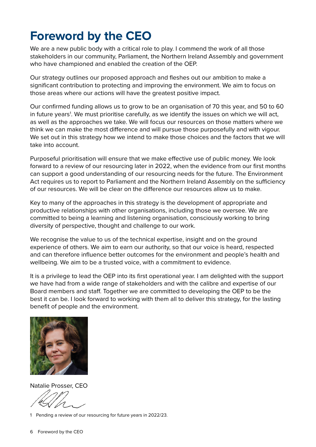# <span id="page-7-0"></span>**Foreword by the CEO**

We are a new public body with a critical role to play. I commend the work of all those stakeholders in our community, Parliament, the Northern Ireland Assembly and government who have championed and enabled the creation of the OEP.

Our strategy outlines our proposed approach and fleshes out our ambition to make a significant contribution to protecting and improving the environment. We aim to focus on those areas where our actions will have the greatest positive impact.

Our confirmed funding allows us to grow to be an organisation of 70 this year, and 50 to 60 in future years<sup>1</sup>. We must prioritise carefully, as we identify the issues on which we will act, as well as the approaches we take. We will focus our resources on those matters where we think we can make the most difference and will pursue those purposefully and with vigour. We set out in this strategy how we intend to make those choices and the factors that we will take into account.

Purposeful prioritisation will ensure that we make effective use of public money. We look forward to a review of our resourcing later in 2022, when the evidence from our first months can support a good understanding of our resourcing needs for the future. The Environment Act requires us to report to Parliament and the Northern Ireland Assembly on the sufficiency of our resources. We will be clear on the difference our resources allow us to make.

Key to many of the approaches in this strategy is the development of appropriate and productive relationships with other organisations, including those we oversee. We are committed to being a learning and listening organisation, consciously working to bring diversity of perspective, thought and challenge to our work.

We recognise the value to us of the technical expertise, insight and on the ground experience of others. We aim to earn our authority, so that our voice is heard, respected and can therefore influence better outcomes for the environment and people's health and wellbeing. We aim to be a trusted voice, with a commitment to evidence.

It is a privilege to lead the OEP into its first operational year. I am delighted with the support we have had from a wide range of stakeholders and with the calibre and expertise of our Board members and staff. Together we are committed to developing the OEP to be the best it can be. I look forward to working with them all to deliver this strategy, for the lasting benefit of people and the environment.



Natalie Prosser, CEO

1 Pending a review of our resourcing for future years in 2022/23.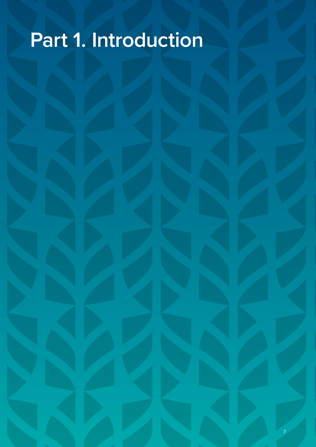# **Part 1. Introduction**

7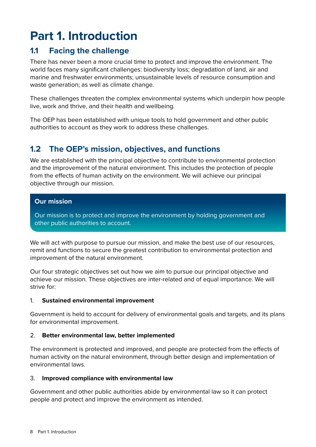# <span id="page-9-0"></span>**Part 1. Introduction**

# **1.1 Facing the challenge**

There has never been a more crucial time to protect and improve the environment. The world faces many significant challenges: biodiversity loss; degradation of land, air and marine and freshwater environments; unsustainable levels of resource consumption and waste generation; as well as climate change.

These challenges threaten the complex environmental systems which underpin how people live, work and thrive, and their health and wellbeing.

The OEP has been established with unique tools to hold government and other public authorities to account as they work to address these challenges.

# **1.2 The OEP's mission, objectives, and functions**

We are established with the principal objective to contribute to environmental protection and the improvement of the natural environment. This includes the protection of people from the effects of human activity on the environment. We will achieve our principal objective through our mission.

#### **Our mission**

Our mission is to protect and improve the environment by holding government and other public authorities to account.

We will act with purpose to pursue our mission, and make the best use of our resources, remit and functions to secure the greatest contribution to environmental protection and improvement of the natural environment.

Our four strategic objectives set out how we aim to pursue our principal objective and achieve our mission. These objectives are inter-related and of equal importance. We will strive for:

#### 1. **Sustained environmental improvement**

Government is held to account for delivery of environmental goals and targets, and its plans for environmental improvement.

#### 2. **Better environmental law, better implemented**

The environment is protected and improved, and people are protected from the effects of human activity on the natural environment, through better design and implementation of environmental laws.

#### 3. **Improved compliance with environmental law**

Government and other public authorities abide by environmental law so it can protect people and protect and improve the environment as intended.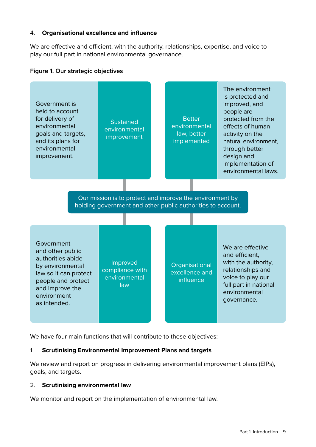#### 4. **Organisational excellence and influence**

We are effective and efficient, with the authority, relationships, expertise, and voice to play our full part in national environmental governance.

#### **Figure 1. Our strategic objectives**



We have four main functions that will contribute to these objectives:

#### 1. **Scrutinising Environmental Improvement Plans and targets**

We review and report on progress in delivering environmental improvement plans (EIPs), goals, and targets.

#### 2. **Scrutinising environmental law**

We monitor and report on the implementation of environmental law.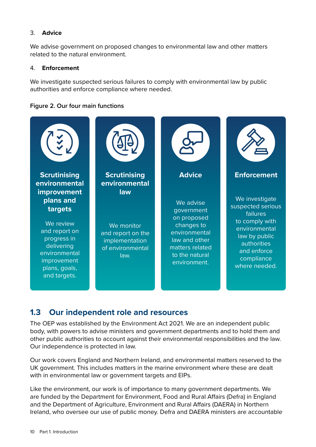#### <span id="page-11-0"></span>3. **Advice**

We advise government on proposed changes to environmental law and other matters related to the natural environment.

#### 4. **Enforcement**

We investigate suspected serious failures to comply with environmental law by public authorities and enforce compliance where needed.

**Figure 2. Our four main functions**



# **1.3 Our independent role and resources**

The OEP was established by the Environment Act 2021. We are an independent public body, with powers to advise ministers and government departments and to hold them and other public authorities to account against their environmental responsibilities and the law. Our independence is protected in law.

Our work covers England and Northern Ireland, and environmental matters reserved to the UK government. This includes matters in the marine environment where these are dealt with in environmental law or government targets and EIPs.

Like the environment, our work is of importance to many government departments. We are funded by the Department for Environment, Food and Rural Affairs (Defra) in England and the Department of Agriculture, Environment and Rural Affairs (DAERA) in Northern Ireland, who oversee our use of public money. Defra and DAERA ministers are accountable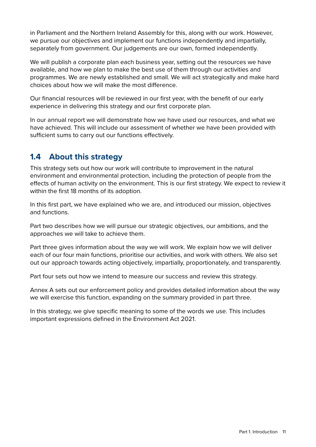<span id="page-12-0"></span>in Parliament and the Northern Ireland Assembly for this, along with our work. However, we pursue our objectives and implement our functions independently and impartially, separately from government. Our judgements are our own, formed independently.

We will publish a corporate plan each business year, setting out the resources we have available, and how we plan to make the best use of them through our activities and programmes. We are newly established and small. We will act strategically and make hard choices about how we will make the most difference.

Our financial resources will be reviewed in our first year, with the benefit of our early experience in delivering this strategy and our first corporate plan.

In our annual report we will demonstrate how we have used our resources, and what we have achieved. This will include our assessment of whether we have been provided with sufficient sums to carry out our functions effectively.

# **1.4 About this strategy**

This strategy sets out how our work will contribute to improvement in the natural environment and environmental protection, including the protection of people from the effects of human activity on the environment. This is our first strategy. We expect to review it within the first 18 months of its adoption.

In this first part, we have explained who we are, and introduced our mission, objectives and functions.

Part two describes how we will pursue our strategic objectives, our ambitions, and the approaches we will take to achieve them.

Part three gives information about the way we will work. We explain how we will deliver each of our four main functions, prioritise our activities, and work with others. We also set out our approach towards acting objectively, impartially, proportionately, and transparently.

Part four sets out how we intend to measure our success and review this strategy.

Annex A sets out our enforcement policy and provides detailed information about the way we will exercise this function, expanding on the summary provided in part three.

In this strategy, we give specific meaning to some of the words we use. This includes important expressions defined in the Environment Act 2021.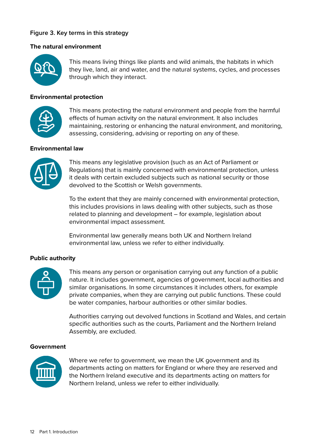#### **Figure 3. Key terms in this strategy**

#### **The natural environment**



This means living things like plants and wild animals, the habitats in which they live, land, air and water, and the natural systems, cycles, and processes through which they interact.

#### **Environmental protection**



This means protecting the natural environment and people from the harmful effects of human activity on the natural environment. It also includes maintaining, restoring or enhancing the natural environment, and monitoring, assessing, considering, advising or reporting on any of these.

#### **Environmental law**



This means any legislative provision (such as an Act of Parliament or Regulations) that is mainly concerned with environmental protection, unless it deals with certain excluded subjects such as national security or those devolved to the Scottish or Welsh governments.

To the extent that they are mainly concerned with environmental protection, this includes provisions in laws dealing with other subjects, such as those related to planning and development – for example, legislation about environmental impact assessment.

Environmental law generally means both UK and Northern Ireland environmental law, unless we refer to either individually.

#### **Public authority**



This means any person or organisation carrying out any function of a public nature. It includes government, agencies of government, local authorities and similar organisations. In some circumstances it includes others, for example private companies, when they are carrying out public functions. These could be water companies, harbour authorities or other similar bodies.

Authorities carrying out devolved functions in Scotland and Wales, and certain specific authorities such as the courts, Parliament and the Northern Ireland Assembly, are excluded.

#### **Government**



Where we refer to government, we mean the UK government and its departments acting on matters for England or where they are reserved and the Northern Ireland executive and its departments acting on matters for Northern Ireland, unless we refer to either individually.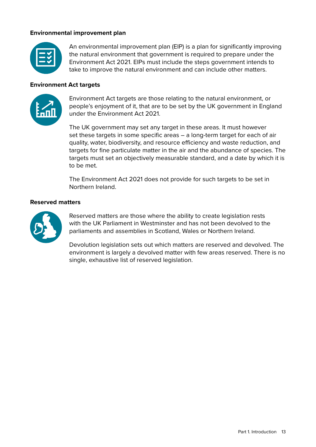#### **Environmental improvement plan**



An environmental improvement plan (EIP) is a plan for significantly improving the natural environment that government is required to prepare under the Environment Act 2021. EIPs must include the steps government intends to take to improve the natural environment and can include other matters.

#### **Environment Act targets**



Environment Act targets are those relating to the natural environment, or people's enjoyment of it, that are to be set by the UK government in England under the Environment Act 2021.

The UK government may set any target in these areas. It must however set these targets in some specific areas – a long-term target for each of air quality, water, biodiversity, and resource efficiency and waste reduction, and targets for fine particulate matter in the air and the abundance of species. The targets must set an objectively measurable standard, and a date by which it is to be met.

The Environment Act 2021 does not provide for such targets to be set in Northern Ireland.

#### **Reserved matters**



Reserved matters are those where the ability to create legislation rests with the UK Parliament in Westminster and has not been devolved to the parliaments and assemblies in Scotland, Wales or Northern Ireland.

Devolution legislation sets out which matters are reserved and devolved. The environment is largely a devolved matter with few areas reserved. There is no single, exhaustive list of reserved legislation.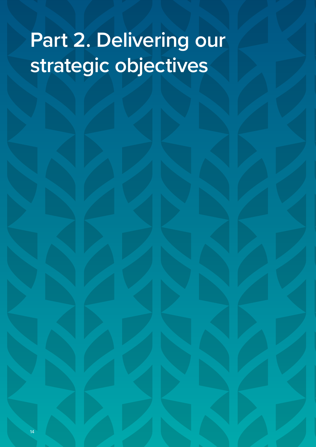# **Part 2. Delivering our strategic objectives**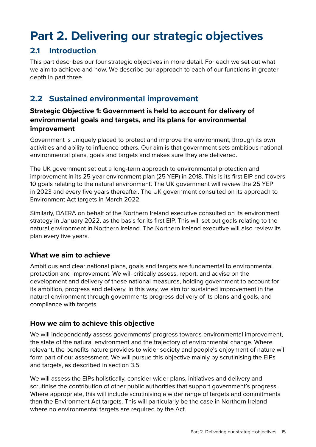# <span id="page-16-0"></span>**Part 2. Delivering our strategic objectives**

# **2.1 Introduction**

This part describes our four strategic objectives in more detail. For each we set out what we aim to achieve and how. We describe our approach to each of our functions in greater depth in part three.

# **2.2 Sustained environmental improvement**

# **Strategic Objective 1: Government is held to account for delivery of environmental goals and targets, and its plans for environmental improvement**

Government is uniquely placed to protect and improve the environment, through its own activities and ability to influence others. Our aim is that government sets ambitious national environmental plans, goals and targets and makes sure they are delivered.

The UK government set out a long-term approach to environmental protection and improvement in its 25-year environment plan (25 YEP) in 2018. This is its first EIP and covers 10 goals relating to the natural environment. The UK government will review the 25 YEP in 2023 and every five years thereafter. The UK government consulted on its approach to Environment Act targets in March 2022.

Similarly, DAERA on behalf of the Northern Ireland executive consulted on its environment strategy in January 2022, as the basis for its first EIP. This will set out goals relating to the natural environment in Northern Ireland. The Northern Ireland executive will also review its plan every five years.

## **What we aim to achieve**

Ambitious and clear national plans, goals and targets are fundamental to environmental protection and improvement. We will critically assess, report, and advise on the development and delivery of these national measures, holding government to account for its ambition, progress and delivery. In this way, we aim for sustained improvement in the natural environment through governments progress delivery of its plans and goals, and compliance with targets.

## **How we aim to achieve this objective**

We will independently assess governments' progress towards environmental improvement, the state of the natural environment and the trajectory of environmental change. Where relevant, the benefits nature provides to wider society and people's enjoyment of nature will form part of our assessment. We will pursue this objective mainly by scrutinising the EIPs and targets, as described in section 3.5.

We will assess the EIPs holistically, consider wider plans, initiatives and delivery and scrutinise the contribution of other public authorities that support government's progress. Where appropriate, this will include scrutinising a wider range of targets and commitments than the Environment Act targets. This will particularly be the case in Northern Ireland where no environmental targets are required by the Act.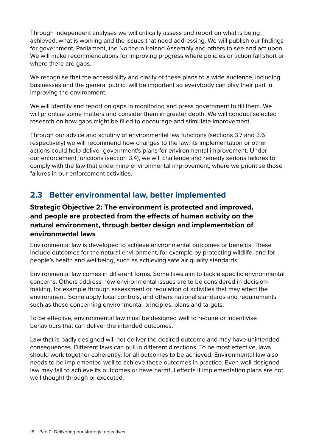<span id="page-17-0"></span>Through independent analyses we will critically assess and report on what is being achieved, what is working and the issues that need addressing. We will publish our findings for government, Parliament, the Northern Ireland Assembly and others to see and act upon. We will make recommendations for improving progress where policies or action fall short or where there are gaps.

We recognise that the accessibility and clarity of these plans to a wide audience, including businesses and the general public, will be important so everybody can play their part in improving the environment.

We will identify and report on gaps in monitoring and press government to fill them. We will prioritise some matters and consider them in greater depth. We will conduct selected research on how gaps might be filled to encourage and stimulate improvement.

Through our advice and scrutiny of environmental law functions (sections 3.7 and 3.6 respectively) we will recommend how changes to the law, its implementation or other actions could help deliver government's plans for environmental improvement. Under our enforcement functions (section 3.4), we will challenge and remedy serious failures to comply with the law that undermine environmental improvement, where we prioritise those failures in our enforcement activities.

# **2.3 Better environmental law, better implemented**

# **Strategic Objective 2: The environment is protected and improved, and people are protected from the effects of human activity on the natural environment, through better design and implementation of environmental laws**

Environmental law is developed to achieve environmental outcomes or benefits. These include outcomes for the natural environment, for example by protecting wildlife, and for people's health and wellbeing, such as achieving safe air quality standards.

Environmental law comes in different forms. Some laws aim to tackle specific environmental concerns. Others address how environmental issues are to be considered in decisionmaking, for example through assessment or regulation of activities that may affect the environment. Some apply local controls, and others national standards and requirements such as those concerning environmental principles, plans and targets.

To be effective, environmental law must be designed well to require or incentivise behaviours that can deliver the intended outcomes.

Law that is badly designed will not deliver the desired outcome and may have unintended consequences. Different laws can pull in different directions. To be most effective, laws should work together coherently, for all outcomes to be achieved. Environmental law also needs to be implemented well to achieve these outcomes in practice. Even well-designed law may fail to achieve its outcomes or have harmful effects if implementation plans are not well thought through or executed.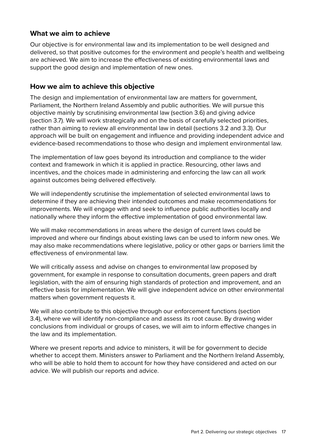## **What we aim to achieve**

Our objective is for environmental law and its implementation to be well designed and delivered, so that positive outcomes for the environment and people's health and wellbeing are achieved. We aim to increase the effectiveness of existing environmental laws and support the good design and implementation of new ones.

#### **How we aim to achieve this objective**

The design and implementation of environmental law are matters for government, Parliament, the Northern Ireland Assembly and public authorities. We will pursue this objective mainly by scrutinising environmental law (section 3.6) and giving advice (section 3.7). We will work strategically and on the basis of carefully selected priorities, rather than aiming to review all environmental law in detail (sections 3.2 and 3.3). Our approach will be built on engagement and influence and providing independent advice and evidence-based recommendations to those who design and implement environmental law.

The implementation of law goes beyond its introduction and compliance to the wider context and framework in which it is applied in practice. Resourcing, other laws and incentives, and the choices made in administering and enforcing the law can all work against outcomes being delivered effectively.

We will independently scrutinise the implementation of selected environmental laws to determine if they are achieving their intended outcomes and make recommendations for improvements. We will engage with and seek to influence public authorities locally and nationally where they inform the effective implementation of good environmental law.

We will make recommendations in areas where the design of current laws could be improved and where our findings about existing laws can be used to inform new ones. We may also make recommendations where legislative, policy or other gaps or barriers limit the effectiveness of environmental law.

We will critically assess and advise on changes to environmental law proposed by government, for example in response to consultation documents, green papers and draft legislation, with the aim of ensuring high standards of protection and improvement, and an effective basis for implementation. We will give independent advice on other environmental matters when government requests it.

We will also contribute to this objective through our enforcement functions (section 3.4), where we will identify non-compliance and assess its root cause. By drawing wider conclusions from individual or groups of cases, we will aim to inform effective changes in the law and its implementation.

Where we present reports and advice to ministers, it will be for government to decide whether to accept them. Ministers answer to Parliament and the Northern Ireland Assembly, who will be able to hold them to account for how they have considered and acted on our advice. We will publish our reports and advice.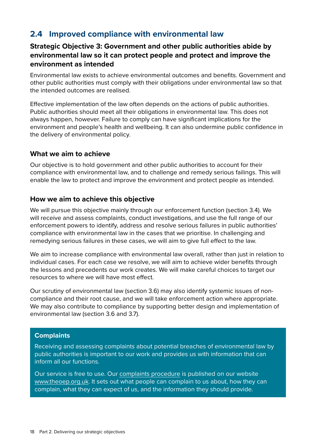# <span id="page-19-0"></span>**2.4 Improved compliance with environmental law**

# **Strategic Objective 3: Government and other public authorities abide by environmental law so it can protect people and protect and improve the environment as intended**

Environmental law exists to achieve environmental outcomes and benefits. Government and other public authorities must comply with their obligations under environmental law so that the intended outcomes are realised.

Effective implementation of the law often depends on the actions of public authorities. Public authorities should meet all their obligations in environmental law. This does not always happen, however. Failure to comply can have significant implications for the environment and people's health and wellbeing. It can also undermine public confidence in the delivery of environmental policy.

#### **What we aim to achieve**

Our objective is to hold government and other public authorities to account for their compliance with environmental law, and to challenge and remedy serious failings. This will enable the law to protect and improve the environment and protect people as intended.

## **How we aim to achieve this objective**

We will pursue this objective mainly through our enforcement function (section 3.4). We will receive and assess complaints, conduct investigations, and use the full range of our enforcement powers to identify, address and resolve serious failures in public authorities' compliance with environmental law in the cases that we prioritise. In challenging and remedying serious failures in these cases, we will aim to give full effect to the law.

We aim to increase compliance with environmental law overall, rather than just in relation to individual cases. For each case we resolve, we will aim to achieve wider benefits through the lessons and precedents our work creates. We will make careful choices to target our resources to where we will have most effect.

Our scrutiny of environmental law (section 3.6) may also identify systemic issues of noncompliance and their root cause, and we will take enforcement action where appropriate. We may also contribute to compliance by supporting better design and implementation of environmental law (section 3.6 and 3.7).

#### **Complaints**

Receiving and assessing complaints about potential breaches of environmental law by public authorities is important to our work and provides us with information that can inform all our functions.

Our service is free to use. Our [complaints procedure](https://www.theoep.org.uk/report/oep-formal-complaints-procedure) is published on our website [www.theoep.org.uk.](http://www.theoep.org.uk) It sets out what people can complain to us about, how they can complain, what they can expect of us, and the information they should provide.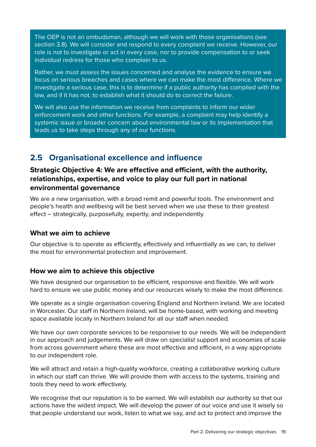<span id="page-20-0"></span>The OEP is not an ombudsman, although we will work with those organisations (see section 3.8). We will consider and respond to every complaint we receive. However, our role is not to investigate or act in every case, nor to provide compensation to or seek individual redress for those who complain to us.

Rather, we must assess the issues concerned and analyse the evidence to ensure we focus on serious breaches and cases where we can make the most difference. Where we investigate a serious case, this is to determine if a public authority has complied with the law, and if it has not, to establish what it should do to correct the failure.

We will also use the information we receive from complaints to inform our wider enforcement work and other functions. For example, a complaint may help identify a systemic issue or broader concern about environmental law or its implementation that leads us to take steps through any of our functions.

# **2.5 Organisational excellence and influence**

# **Strategic Objective 4: We are effective and efficient, with the authority, relationships, expertise, and voice to play our full part in national environmental governance**

We are a new organisation, with a broad remit and powerful tools. The environment and people's health and wellbeing will be best served when we use these to their greatest effect – strategically, purposefully, expertly, and independently.

#### **What we aim to achieve**

Our objective is to operate as efficiently, effectively and influentially as we can, to deliver the most for environmental protection and improvement.

#### **How we aim to achieve this objective**

We have designed our organisation to be efficient, responsive and flexible. We will work hard to ensure we use public money and our resources wisely to make the most difference.

We operate as a single organisation covering England and Northern Ireland. We are located in Worcester. Our staff in Northern Ireland, will be home-based, with working and meeting space available locally in Northern Ireland for all our staff when needed.

We have our own corporate services to be responsive to our needs. We will be independent in our approach and judgements. We will draw on specialist support and economies of scale from across government where these are most effective and efficient, in a way appropriate to our independent role.

We will attract and retain a high-quality workforce, creating a collaborative working culture in which our staff can thrive. We will provide them with access to the systems, training and tools they need to work effectively.

We recognise that our reputation is to be earned. We will establish our authority so that our actions have the widest impact. We will develop the power of our voice and use it wisely so that people understand our work, listen to what we say, and act to protect and improve the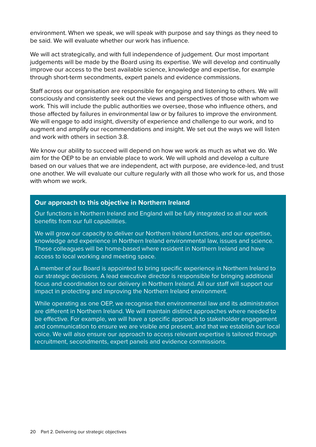environment. When we speak, we will speak with purpose and say things as they need to be said. We will evaluate whether our work has influence.

We will act strategically, and with full independence of judgement. Our most important judgements will be made by the Board using its expertise. We will develop and continually improve our access to the best available science, knowledge and expertise, for example through short-term secondments, expert panels and evidence commissions.

Staff across our organisation are responsible for engaging and listening to others. We will consciously and consistently seek out the views and perspectives of those with whom we work. This will include the public authorities we oversee, those who influence others, and those affected by failures in environmental law or by failures to improve the environment. We will engage to add insight, diversity of experience and challenge to our work, and to augment and amplify our recommendations and insight. We set out the ways we will listen and work with others in section 3.8.

We know our ability to succeed will depend on how we work as much as what we do. We aim for the OEP to be an enviable place to work. We will uphold and develop a culture based on our values that we are independent, act with purpose, are evidence-led, and trust one another. We will evaluate our culture regularly with all those who work for us, and those with whom we work.

#### **Our approach to this objective in Northern Ireland**

Our functions in Northern Ireland and England will be fully integrated so all our work benefits from our full capabilities.

We will grow our capacity to deliver our Northern Ireland functions, and our expertise, knowledge and experience in Northern Ireland environmental law, issues and science. These colleagues will be home-based where resident in Northern Ireland and have access to local working and meeting space.

A member of our Board is appointed to bring specific experience in Northern Ireland to our strategic decisions. A lead executive director is responsible for bringing additional focus and coordination to our delivery in Northern Ireland. All our staff will support our impact in protecting and improving the Northern Ireland environment.

While operating as one OEP, we recognise that environmental law and its administration are different in Northern Ireland. We will maintain distinct approaches where needed to be effective. For example, we will have a specific approach to stakeholder engagement and communication to ensure we are visible and present, and that we establish our local voice. We will also ensure our approach to access relevant expertise is tailored through recruitment, secondments, expert panels and evidence commissions.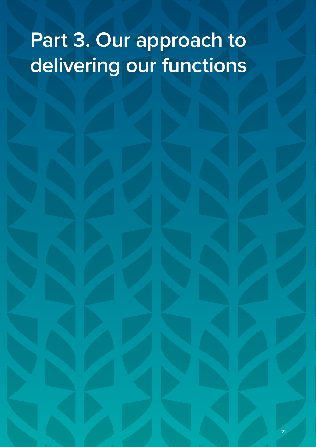# **Part 3. Our approach to delivering our functions**

 $\sim$  21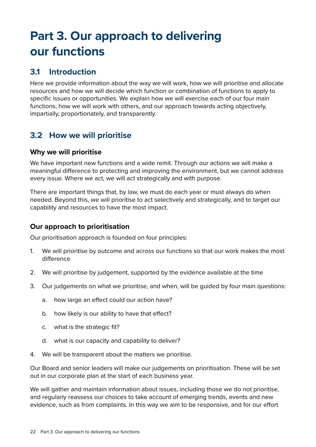# <span id="page-23-0"></span>**Part 3. Our approach to delivering our functions**

# **3.1 Introduction**

Here we provide information about the way we will work, how we will prioritise and allocate resources and how we will decide which function or combination of functions to apply to specific issues or opportunities. We explain how we will exercise each of our four main functions, how we will work with others, and our approach towards acting objectively, impartially, proportionately, and transparently.

# **3.2 How we will prioritise**

## **Why we will prioritise**

We have important new functions and a wide remit. Through our actions we will make a meaningful difference to protecting and improving the environment, but we cannot address every issue. Where we act, we will act strategically and with purpose.

There are important things that, by law, we must do each year or must always do when needed. Beyond this, we will prioritise to act selectively and strategically, and to target our capability and resources to have the most impact.

## **Our approach to prioritisation**

Our prioritisation approach is founded on four principles:

- 1. We will prioritise by outcome and across our functions so that our work makes the most difference
- 2. We will prioritise by judgement, supported by the evidence available at the time
- 3. Our judgements on what we prioritise, and when, will be guided by four main questions:
	- a. how large an effect could our action have?
	- b. how likely is our ability to have that effect?
	- c. what is the strategic fit?
	- d. what is our capacity and capability to deliver?
- 4. We will be transparent about the matters we prioritise.

Our Board and senior leaders will make our judgements on prioritisation. These will be set out in our corporate plan at the start of each business year.

We will gather and maintain information about issues, including those we do not prioritise, and regularly reassess our choices to take account of emerging trends, events and new evidence, such as from complaints. In this way we aim to be responsive, and for our effort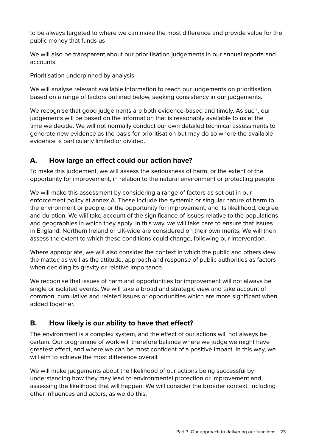to be always targeted to where we can make the most difference and provide value for the public money that funds us

We will also be transparent about our prioritisation judgements in our annual reports and accounts.

Prioritisation underpinned by analysis

We will analyse relevant available information to reach our judgements on prioritisation, based on a range of factors outlined below, seeking consistency in our judgements.

We recognise that good judgements are both evidence-based and timely. As such, our judgements will be based on the information that is reasonably available to us at the time we decide. We will not normally conduct our own detailed technical assessments to generate new evidence as the basis for prioritisation but may do so where the available evidence is particularly limited or divided.

# **A. How large an effect could our action have?**

To make this judgement, we will assess the seriousness of harm, or the extent of the opportunity for improvement, in relation to the natural environment or protecting people.

We will make this assessment by considering a range of factors as set out in our enforcement policy at annex A. These include the systemic or singular nature of harm to the environment or people, or the opportunity for improvement, and its likelihood, degree, and duration. We will take account of the significance of issues relative to the populations and geographies in which they apply. In this way, we will take care to ensure that issues in England, Northern Ireland or UK-wide are considered on their own merits. We will then assess the extent to which these conditions could change, following our intervention.

Where appropriate, we will also consider the context in which the public and others view the matter, as well as the attitude, approach and response of public authorities as factors when deciding its gravity or relative importance.

We recognise that issues of harm and opportunities for improvement will not always be single or isolated events. We will take a broad and strategic view and take account of common, cumulative and related issues or opportunities which are more significant when added together.

## **B. How likely is our ability to have that effect?**

The environment is a complex system, and the effect of our actions will not always be certain. Our programme of work will therefore balance where we judge we might have greatest effect, and where we can be most confident of a positive impact. In this way, we will aim to achieve the most difference overall.

We will make judgements about the likelihood of our actions being successful by understanding how they may lead to environmental protection or improvement and assessing the likelihood that will happen. We will consider the broader context, including other influences and actors, as we do this.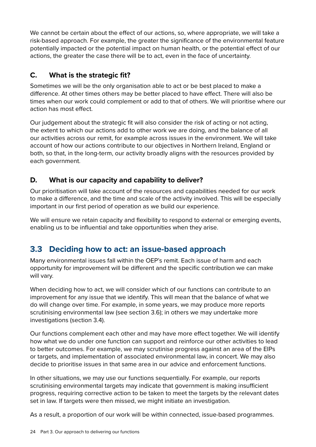<span id="page-25-0"></span>We cannot be certain about the effect of our actions, so, where appropriate, we will take a risk-based approach. For example, the greater the significance of the environmental feature potentially impacted or the potential impact on human health, or the potential effect of our actions, the greater the case there will be to act, even in the face of uncertainty.

# **C. What is the strategic fit?**

Sometimes we will be the only organisation able to act or be best placed to make a difference. At other times others may be better placed to have effect. There will also be times when our work could complement or add to that of others. We will prioritise where our action has most effect.

Our judgement about the strategic fit will also consider the risk of acting or not acting, the extent to which our actions add to other work we are doing, and the balance of all our activities across our remit, for example across issues in the environment. We will take account of how our actions contribute to our objectives in Northern Ireland, England or both, so that, in the long-term, our activity broadly aligns with the resources provided by each government.

# **D. What is our capacity and capability to deliver?**

Our prioritisation will take account of the resources and capabilities needed for our work to make a difference, and the time and scale of the activity involved. This will be especially important in our first period of operation as we build our experience.

We will ensure we retain capacity and flexibility to respond to external or emerging events, enabling us to be influential and take opportunities when they arise.

# **3.3 Deciding how to act: an issue-based approach**

Many environmental issues fall within the OEP's remit. Each issue of harm and each opportunity for improvement will be different and the specific contribution we can make will vary.

When deciding how to act, we will consider which of our functions can contribute to an improvement for any issue that we identify. This will mean that the balance of what we do will change over time. For example, in some years, we may produce more reports scrutinising environmental law (see section 3.6); in others we may undertake more investigations (section 3.4).

Our functions complement each other and may have more effect together. We will identify how what we do under one function can support and reinforce our other activities to lead to better outcomes. For example, we may scrutinise progress against an area of the EIPs or targets, and implementation of associated environmental law, in concert. We may also decide to prioritise issues in that same area in our advice and enforcement functions.

In other situations, we may use our functions sequentially. For example, our reports scrutinising environmental targets may indicate that government is making insufficient progress, requiring corrective action to be taken to meet the targets by the relevant dates set in law. If targets were then missed, we might initiate an investigation.

As a result, a proportion of our work will be within connected, issue-based programmes.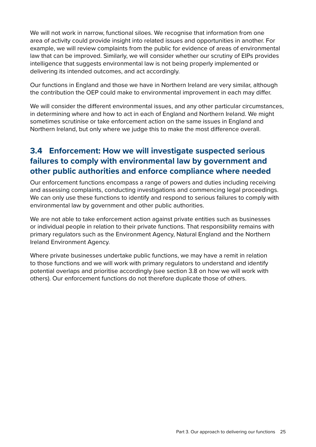<span id="page-26-0"></span>We will not work in narrow, functional siloes. We recognise that information from one area of activity could provide insight into related issues and opportunities in another. For example, we will review complaints from the public for evidence of areas of environmental law that can be improved. Similarly, we will consider whether our scrutiny of EIPs provides intelligence that suggests environmental law is not being properly implemented or delivering its intended outcomes, and act accordingly.

Our functions in England and those we have in Northern Ireland are very similar, although the contribution the OEP could make to environmental improvement in each may differ.

We will consider the different environmental issues, and any other particular circumstances, in determining where and how to act in each of England and Northern Ireland. We might sometimes scrutinise or take enforcement action on the same issues in England and Northern Ireland, but only where we judge this to make the most difference overall.

# **3.4 Enforcement: How we will investigate suspected serious failures to comply with environmental law by government and other public authorities and enforce compliance where needed**

Our enforcement functions encompass a range of powers and duties including receiving and assessing complaints, conducting investigations and commencing legal proceedings. We can only use these functions to identify and respond to serious failures to comply with environmental law by government and other public authorities.

We are not able to take enforcement action against private entities such as businesses or individual people in relation to their private functions. That responsibility remains with primary regulators such as the Environment Agency, Natural England and the Northern Ireland Environment Agency.

Where private businesses undertake public functions, we may have a remit in relation to those functions and we will work with primary regulators to understand and identify potential overlaps and prioritise accordingly (see section 3.8 on how we will work with others). Our enforcement functions do not therefore duplicate those of others.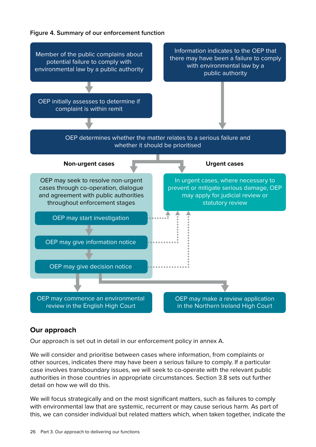#### **Figure 4. Summary of our enforcement function**



#### **Our approach**

Our approach is set out in detail in our enforcement policy in annex A.

We will consider and prioritise between cases where information, from complaints or other sources, indicates there may have been a serious failure to comply. If a particular case involves transboundary issues, we will seek to co-operate with the relevant public authorities in those countries in appropriate circumstances. Section 3.8 sets out further detail on how we will do this.

We will focus strategically and on the most significant matters, such as failures to comply with environmental law that are systemic, recurrent or may cause serious harm. As part of this, we can consider individual but related matters which, when taken together, indicate the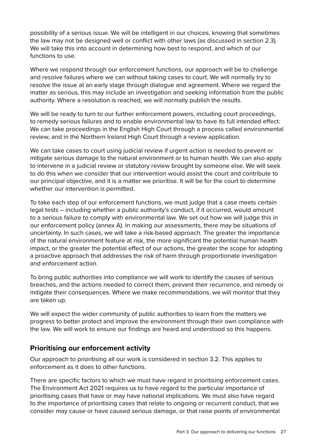possibility of a serious issue. We will be intelligent in our choices, knowing that sometimes the law may not be designed well or conflict with other laws (as discussed in section 2.3). We will take this into account in determining how best to respond, and which of our functions to use.

Where we respond through our enforcement functions, our approach will be to challenge and resolve failures where we can without taking cases to court. We will normally try to resolve the issue at an early stage through dialogue and agreement. Where we regard the matter as serious, this may include an investigation and seeking information from the public authority. Where a resolution is reached, we will normally publish the results.

We will be ready to turn to our further enforcement powers, including court proceedings, to remedy serious failures and to enable environmental law to have its full intended effect. We can take proceedings in the English High Court through a process called environmental review, and in the Northern Ireland High Court through a review application.

We can take cases to court using judicial review if urgent action is needed to prevent or mitigate serious damage to the natural environment or to human health. We can also apply to intervene in a judicial review or statutory review brought by someone else. We will seek to do this when we consider that our intervention would assist the court and contribute to our principal objective, and it is a matter we prioritise. It will be for the court to determine whether our intervention is permitted.

To take each step of our enforcement functions, we must judge that a case meets certain legal tests – including whether a public authority's conduct, if it occurred, would amount to a serious failure to comply with environmental law. We set out how we will judge this in our enforcement policy (annex A). In making our assessments, there may be situations of uncertainty. In such cases, we will take a risk-based approach. The greater the importance of the natural environment feature at risk, the more significant the potential human health impact, or the greater the potential effect of our actions, the greater the scope for adopting a proactive approach that addresses the risk of harm through proportionate investigation and enforcement action.

To bring public authorities into compliance we will work to identify the causes of serious breaches, and the actions needed to correct them, prevent their recurrence, and remedy or mitigate their consequences. Where we make recommendations, we will monitor that they are taken up.

We will expect the wider community of public authorities to learn from the matters we progress to better protect and improve the environment through their own compliance with the law. We will work to ensure our findings are heard and understood so this happens.

#### **Prioritising our enforcement activity**

Our approach to prioritising all our work is considered in section 3.2. This applies to enforcement as it does to other functions.

There are specific factors to which we must have regard in prioritising enforcement cases. The Environment Act 2021 requires us to have regard to the particular importance of prioritising cases that have or may have national implications. We must also have regard to the importance of prioritising cases that relate to ongoing or recurrent conduct, that we consider may cause or have caused serious damage, or that raise points of environmental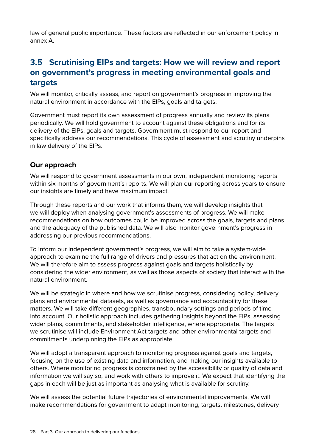<span id="page-29-0"></span>law of general public importance. These factors are reflected in our enforcement policy in annex A.

# **3.5 Scrutinising EIPs and targets: How we will review and report on government's progress in meeting environmental goals and targets**

We will monitor, critically assess, and report on government's progress in improving the natural environment in accordance with the EIPs, goals and targets.

Government must report its own assessment of progress annually and review its plans periodically. We will hold government to account against these obligations and for its delivery of the EIPs, goals and targets. Government must respond to our report and specifically address our recommendations. This cycle of assessment and scrutiny underpins in law delivery of the EIPs.

# **Our approach**

We will respond to government assessments in our own, independent monitoring reports within six months of government's reports. We will plan our reporting across years to ensure our insights are timely and have maximum impact.

Through these reports and our work that informs them, we will develop insights that we will deploy when analysing government's assessments of progress. We will make recommendations on how outcomes could be improved across the goals, targets and plans, and the adequacy of the published data. We will also monitor government's progress in addressing our previous recommendations.

To inform our independent government's progress, we will aim to take a system-wide approach to examine the full range of drivers and pressures that act on the environment. We will therefore aim to assess progress against goals and targets holistically by considering the wider environment, as well as those aspects of society that interact with the natural environment.

We will be strategic in where and how we scrutinise progress, considering policy, delivery plans and environmental datasets, as well as governance and accountability for these matters. We will take different geographies, transboundary settings and periods of time into account. Our holistic approach includes gathering insights beyond the EIPs, assessing wider plans, commitments, and stakeholder intelligence, where appropriate. The targets we scrutinise will include Environment Act targets and other environmental targets and commitments underpinning the EIPs as appropriate.

We will adopt a transparent approach to monitoring progress against goals and targets, focusing on the use of existing data and information, and making our insights available to others. Where monitoring progress is constrained by the accessibility or quality of data and information we will say so, and work with others to improve it. We expect that identifying the gaps in each will be just as important as analysing what is available for scrutiny.

We will assess the potential future trajectories of environmental improvements. We will make recommendations for government to adapt monitoring, targets, milestones, delivery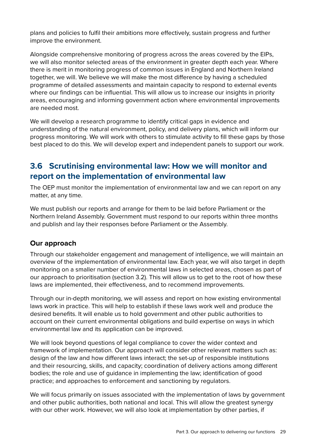<span id="page-30-0"></span>plans and policies to fulfil their ambitions more effectively, sustain progress and further improve the environment.

Alongside comprehensive monitoring of progress across the areas covered by the EIPs, we will also monitor selected areas of the environment in greater depth each year. Where there is merit in monitoring progress of common issues in England and Northern Ireland together, we will. We believe we will make the most difference by having a scheduled programme of detailed assessments and maintain capacity to respond to external events where our findings can be influential. This will allow us to increase our insights in priority areas, encouraging and informing government action where environmental improvements are needed most.

We will develop a research programme to identify critical gaps in evidence and understanding of the natural environment, policy, and delivery plans, which will inform our progress monitoring. We will work with others to stimulate activity to fill these gaps by those best placed to do this. We will develop expert and independent panels to support our work.

# **3.6 Scrutinising environmental law: How we will monitor and report on the implementation of environmental law**

The OEP must monitor the implementation of environmental law and we can report on any matter, at any time.

We must publish our reports and arrange for them to be laid before Parliament or the Northern Ireland Assembly. Government must respond to our reports within three months and publish and lay their responses before Parliament or the Assembly.

## **Our approach**

Through our stakeholder engagement and management of intelligence, we will maintain an overview of the implementation of environmental law. Each year, we will also target in depth monitoring on a smaller number of environmental laws in selected areas, chosen as part of our approach to prioritisation (section 3.2). This will allow us to get to the root of how these laws are implemented, their effectiveness, and to recommend improvements.

Through our in-depth monitoring, we will assess and report on how existing environmental laws work in practice. This will help to establish if these laws work well and produce the desired benefits. It will enable us to hold government and other public authorities to account on their current environmental obligations and build expertise on ways in which environmental law and its application can be improved.

We will look beyond questions of legal compliance to cover the wider context and framework of implementation. Our approach will consider other relevant matters such as: design of the law and how different laws interact; the set-up of responsible institutions and their resourcing, skills, and capacity; coordination of delivery actions among different bodies; the role and use of guidance in implementing the law; identification of good practice; and approaches to enforcement and sanctioning by regulators.

We will focus primarily on issues associated with the implementation of laws by government and other public authorities, both national and local. This will allow the greatest synergy with our other work. However, we will also look at implementation by other parties, if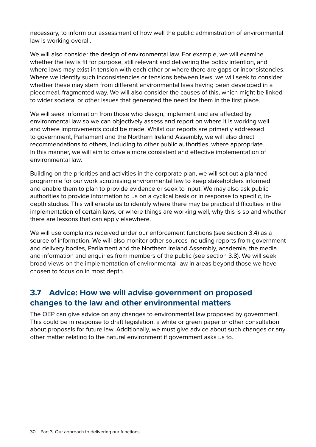<span id="page-31-0"></span>necessary, to inform our assessment of how well the public administration of environmental law is working overall.

We will also consider the design of environmental law. For example, we will examine whether the law is fit for purpose, still relevant and delivering the policy intention, and where laws may exist in tension with each other or where there are gaps or inconsistencies. Where we identify such inconsistencies or tensions between laws, we will seek to consider whether these may stem from different environmental laws having been developed in a piecemeal, fragmented way. We will also consider the causes of this, which might be linked to wider societal or other issues that generated the need for them in the first place.

We will seek information from those who design, implement and are affected by environmental law so we can objectively assess and report on where it is working well and where improvements could be made. Whilst our reports are primarily addressed to government, Parliament and the Northern Ireland Assembly, we will also direct recommendations to others, including to other public authorities, where appropriate. In this manner, we will aim to drive a more consistent and effective implementation of environmental law.

Building on the priorities and activities in the corporate plan, we will set out a planned programme for our work scrutinising environmental law to keep stakeholders informed and enable them to plan to provide evidence or seek to input. We may also ask public authorities to provide information to us on a cyclical basis or in response to specific, indepth studies. This will enable us to identify where there may be practical difficulties in the implementation of certain laws, or where things are working well, why this is so and whether there are lessons that can apply elsewhere.

We will use complaints received under our enforcement functions (see section 3.4) as a source of information. We will also monitor other sources including reports from government and delivery bodies, Parliament and the Northern Ireland Assembly, academia, the media and information and enquiries from members of the public (see section 3.8). We will seek broad views on the implementation of environmental law in areas beyond those we have chosen to focus on in most depth.

# **3.7 Advice: How we will advise government on proposed changes to the law and other environmental matters**

The OEP can give advice on any changes to environmental law proposed by government. This could be in response to draft legislation, a white or green paper or other consultation about proposals for future law. Additionally, we must give advice about such changes or any other matter relating to the natural environment if government asks us to.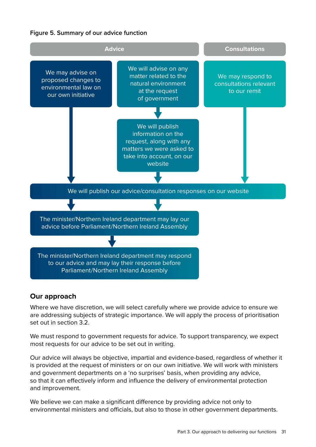#### **Figure 5. Summary of our advice function**



#### **Our approach**

Where we have discretion, we will select carefully where we provide advice to ensure we are addressing subjects of strategic importance. We will apply the process of prioritisation set out in section 3.2.

We must respond to government requests for advice. To support transparency, we expect most requests for our advice to be set out in writing.

Our advice will always be objective, impartial and evidence-based, regardless of whether it is provided at the request of ministers or on our own initiative. We will work with ministers and government departments on a 'no surprises' basis, when providing any advice, so that it can effectively inform and influence the delivery of environmental protection and improvement.

We believe we can make a significant difference by providing advice not only to environmental ministers and officials, but also to those in other government departments.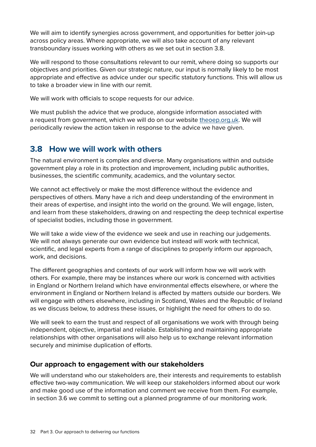<span id="page-33-0"></span>We will aim to identify synergies across government, and opportunities for better join-up across policy areas. Where appropriate, we will also take account of any relevant transboundary issues working with others as we set out in section 3.8.

We will respond to those consultations relevant to our remit, where doing so supports our objectives and priorities. Given our strategic nature, our input is normally likely to be most appropriate and effective as advice under our specific statutory functions. This will allow us to take a broader view in line with our remit.

We will work with officials to scope requests for our advice.

We must publish the advice that we produce, alongside information associated with a request from government, which we will do on our website [theoep.org.uk.](https://www.theoep.org.uk/office-environmental-protection) We will periodically review the action taken in response to the advice we have given.

# **3.8 How we will work with others**

The natural environment is complex and diverse. Many organisations within and outside government play a role in its protection and improvement, including public authorities, businesses, the scientific community, academics, and the voluntary sector.

We cannot act effectively or make the most difference without the evidence and perspectives of others. Many have a rich and deep understanding of the environment in their areas of expertise, and insight into the world on the ground. We will engage, listen, and learn from these stakeholders, drawing on and respecting the deep technical expertise of specialist bodies, including those in government.

We will take a wide view of the evidence we seek and use in reaching our judgements. We will not always generate our own evidence but instead will work with technical, scientific, and legal experts from a range of disciplines to properly inform our approach, work, and decisions.

The different geographies and contexts of our work will inform how we will work with others. For example, there may be instances where our work is concerned with activities in England or Northern Ireland which have environmental effects elsewhere, or where the environment in England or Northern Ireland is affected by matters outside our borders. We will engage with others elsewhere, including in Scotland, Wales and the Republic of Ireland as we discuss below, to address these issues, or highlight the need for others to do so.

We will seek to earn the trust and respect of all organisations we work with through being independent, objective, impartial and reliable. Establishing and maintaining appropriate relationships with other organisations will also help us to exchange relevant information securely and minimise duplication of efforts.

## **Our approach to engagement with our stakeholders**

We will understand who our stakeholders are, their interests and requirements to establish effective two-way communication. We will keep our stakeholders informed about our work and make good use of the information and comment we receive from them. For example, in section 3.6 we commit to setting out a planned programme of our monitoring work.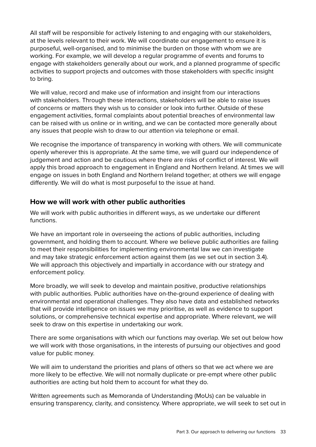All staff will be responsible for actively listening to and engaging with our stakeholders, at the levels relevant to their work. We will coordinate our engagement to ensure it is purposeful, well-organised, and to minimise the burden on those with whom we are working. For example, we will develop a regular programme of events and forums to engage with stakeholders generally about our work, and a planned programme of specific activities to support projects and outcomes with those stakeholders with specific insight to bring.

We will value, record and make use of information and insight from our interactions with stakeholders. Through these interactions, stakeholders will be able to raise issues of concerns or matters they wish us to consider or look into further. Outside of these engagement activities, formal complaints about potential breaches of environmental law can be raised with us online or in writing, and we can be contacted more generally about any issues that people wish to draw to our attention via telephone or email.

We recognise the importance of transparency in working with others. We will communicate openly wherever this is appropriate. At the same time, we will guard our independence of judgement and action and be cautious where there are risks of conflict of interest. We will apply this broad approach to engagement in England and Northern Ireland. At times we will engage on issues in both England and Northern Ireland together; at others we will engage differently. We will do what is most purposeful to the issue at hand.

#### **How we will work with other public authorities**

We will work with public authorities in different ways, as we undertake our different functions.

We have an important role in overseeing the actions of public authorities, including government, and holding them to account. Where we believe public authorities are failing to meet their responsibilities for implementing environmental law we can investigate and may take strategic enforcement action against them (as we set out in section 3.4). We will approach this objectively and impartially in accordance with our strategy and enforcement policy.

More broadly, we will seek to develop and maintain positive, productive relationships with public authorities. Public authorities have on-the-ground experience of dealing with environmental and operational challenges. They also have data and established networks that will provide intelligence on issues we may prioritise, as well as evidence to support solutions, or comprehensive technical expertise and appropriate. Where relevant, we will seek to draw on this expertise in undertaking our work.

There are some organisations with which our functions may overlap. We set out below how we will work with those organisations, in the interests of pursuing our objectives and good value for public money.

We will aim to understand the priorities and plans of others so that we act where we are more likely to be effective. We will not normally duplicate or pre-empt where other public authorities are acting but hold them to account for what they do.

Written agreements such as Memoranda of Understanding (MoUs) can be valuable in ensuring transparency, clarity, and consistency. Where appropriate, we will seek to set out in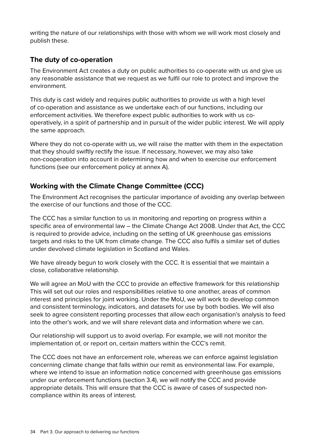writing the nature of our relationships with those with whom we will work most closely and publish these.

# **The duty of co-operation**

The Environment Act creates a duty on public authorities to co-operate with us and give us any reasonable assistance that we request as we fulfil our role to protect and improve the environment.

This duty is cast widely and requires public authorities to provide us with a high level of co-operation and assistance as we undertake each of our functions, including our enforcement activities. We therefore expect public authorities to work with us cooperatively, in a spirit of partnership and in pursuit of the wider public interest. We will apply the same approach.

Where they do not co-operate with us, we will raise the matter with them in the expectation that they should swiftly rectify the issue. If necessary, however, we may also take non-cooperation into account in determining how and when to exercise our enforcement functions (see our enforcement policy at annex A).

# **Working with the Climate Change Committee (CCC)**

The Environment Act recognises the particular importance of avoiding any overlap between the exercise of our functions and those of the CCC.

The CCC has a similar function to us in monitoring and reporting on progress within a specific area of environmental law – the Climate Change Act 2008. Under that Act, the CCC is required to provide advice, including on the setting of UK greenhouse gas emissions targets and risks to the UK from climate change. The CCC also fulfils a similar set of duties under devolved climate legislation in Scotland and Wales.

We have already begun to work closely with the CCC. It is essential that we maintain a close, collaborative relationship.

We will agree an MoU with the CCC to provide an effective framework for this relationship This will set out our roles and responsibilities relative to one another, areas of common interest and principles for joint working. Under the MoU, we will work to develop common and consistent terminology, indicators, and datasets for use by both bodies. We will also seek to agree consistent reporting processes that allow each organisation's analysis to feed into the other's work, and we will share relevant data and information where we can.

Our relationship will support us to avoid overlap. For example, we will not monitor the implementation of, or report on, certain matters within the CCC's remit.

The CCC does not have an enforcement role, whereas we can enforce against legislation concerning climate change that falls within our remit as environmental law. For example, where we intend to issue an information notice concerned with greenhouse gas emissions under our enforcement functions (section 3.4), we will notify the CCC and provide appropriate details. This will ensure that the CCC is aware of cases of suspected noncompliance within its areas of interest.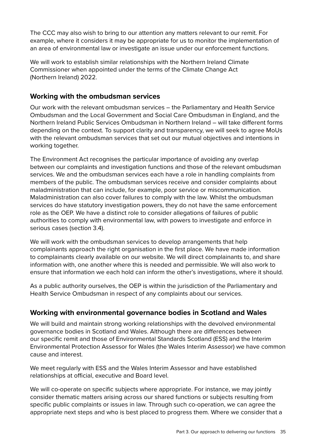The CCC may also wish to bring to our attention any matters relevant to our remit. For example, where it considers it may be appropriate for us to monitor the implementation of an area of environmental law or investigate an issue under our enforcement functions.

We will work to establish similar relationships with the Northern Ireland Climate Commissioner when appointed under the terms of the Climate Change Act (Northern Ireland) 2022.

### **Working with the ombudsman services**

Our work with the relevant ombudsman services – the Parliamentary and Health Service Ombudsman and the Local Government and Social Care Ombudsman in England, and the Northern Ireland Public Services Ombudsman in Northern Ireland – will take different forms depending on the context. To support clarity and transparency, we will seek to agree MoUs with the relevant ombudsman services that set out our mutual objectives and intentions in working together.

The Environment Act recognises the particular importance of avoiding any overlap between our complaints and investigation functions and those of the relevant ombudsman services. We and the ombudsman services each have a role in handling complaints from members of the public. The ombudsman services receive and consider complaints about maladministration that can include, for example, poor service or miscommunication. Maladministration can also cover failures to comply with the law. Whilst the ombudsman services do have statutory investigation powers, they do not have the same enforcement role as the OEP. We have a distinct role to consider allegations of failures of public authorities to comply with environmental law, with powers to investigate and enforce in serious cases (section 3.4).

We will work with the ombudsman services to develop arrangements that help complainants approach the right organisation in the first place. We have made information to complainants clearly available on our website. We will direct complainants to, and share information with, one another where this is needed and permissible. We will also work to ensure that information we each hold can inform the other's investigations, where it should.

As a public authority ourselves, the OEP is within the jurisdiction of the Parliamentary and Health Service Ombudsman in respect of any complaints about our services.

## **Working with environmental governance bodies in Scotland and Wales**

We will build and maintain strong working relationships with the devolved environmental governance bodies in Scotland and Wales. Although there are differences between our specific remit and those of Environmental Standards Scotland (ESS) and the Interim Environmental Protection Assessor for Wales (the Wales Interim Assessor) we have common cause and interest.

We meet regularly with ESS and the Wales Interim Assessor and have established relationships at official, executive and Board level.

We will co-operate on specific subjects where appropriate. For instance, we may jointly consider thematic matters arising across our shared functions or subjects resulting from specific public complaints or issues in law. Through such co-operation, we can agree the appropriate next steps and who is best placed to progress them. Where we consider that a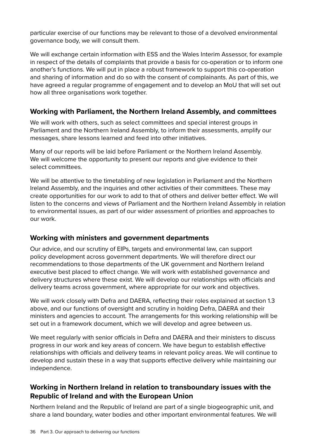particular exercise of our functions may be relevant to those of a devolved environmental governance body, we will consult them.

We will exchange certain information with ESS and the Wales Interim Assessor, for example in respect of the details of complaints that provide a basis for co-operation or to inform one another's functions. We will put in place a robust framework to support this co-operation and sharing of information and do so with the consent of complainants. As part of this, we have agreed a regular programme of engagement and to develop an MoU that will set out how all three organisations work together.

## **Working with Parliament, the Northern Ireland Assembly, and committees**

We will work with others, such as select committees and special interest groups in Parliament and the Northern Ireland Assembly, to inform their assessments, amplify our messages, share lessons learned and feed into other initiatives.

Many of our reports will be laid before Parliament or the Northern Ireland Assembly. We will welcome the opportunity to present our reports and give evidence to their select committees.

We will be attentive to the timetabling of new legislation in Parliament and the Northern Ireland Assembly, and the inquiries and other activities of their committees. These may create opportunities for our work to add to that of others and deliver better effect. We will listen to the concerns and views of Parliament and the Northern Ireland Assembly in relation to environmental issues, as part of our wider assessment of priorities and approaches to our work.

## **Working with ministers and government departments**

Our advice, and our scrutiny of EIPs, targets and environmental law, can support policy development across government departments. We will therefore direct our recommendations to those departments of the UK government and Northern Ireland executive best placed to effect change. We will work with established governance and delivery structures where these exist. We will develop our relationships with officials and delivery teams across government, where appropriate for our work and objectives.

We will work closely with Defra and DAERA, reflecting their roles explained at section 1.3 above, and our functions of oversight and scrutiny in holding Defra, DAERA and their ministers and agencies to account. The arrangements for this working relationship will be set out in a framework document, which we will develop and agree between us.

We meet regularly with senior officials in Defra and DAERA and their ministers to discuss progress in our work and key areas of concern. We have begun to establish effective relationships with officials and delivery teams in relevant policy areas. We will continue to develop and sustain these in a way that supports effective delivery while maintaining our independence.

# **Working in Northern Ireland in relation to transboundary issues with the Republic of Ireland and with the European Union**

Northern Ireland and the Republic of Ireland are part of a single biogeographic unit, and share a land boundary, water bodies and other important environmental features. We will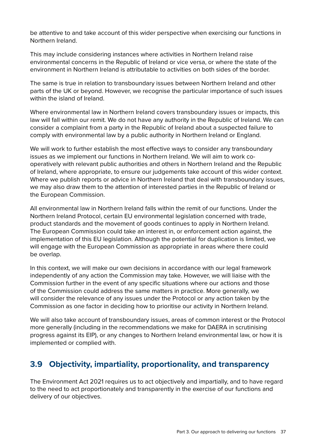<span id="page-38-0"></span>be attentive to and take account of this wider perspective when exercising our functions in Northern Ireland.

This may include considering instances where activities in Northern Ireland raise environmental concerns in the Republic of Ireland or vice versa, or where the state of the environment in Northern Ireland is attributable to activities on both sides of the border.

The same is true in relation to transboundary issues between Northern Ireland and other parts of the UK or beyond. However, we recognise the particular importance of such issues within the island of Ireland.

Where environmental law in Northern Ireland covers transboundary issues or impacts, this law will fall within our remit. We do not have any authority in the Republic of Ireland. We can consider a complaint from a party in the Republic of Ireland about a suspected failure to comply with environmental law by a public authority in Northern Ireland or England.

We will work to further establish the most effective ways to consider any transboundary issues as we implement our functions in Northern Ireland. We will aim to work cooperatively with relevant public authorities and others in Northern Ireland and the Republic of Ireland, where appropriate, to ensure our judgements take account of this wider context. Where we publish reports or advice in Northern Ireland that deal with transboundary issues, we may also draw them to the attention of interested parties in the Republic of Ireland or the European Commission.

All environmental law in Northern Ireland falls within the remit of our functions. Under the Northern Ireland Protocol, certain EU environmental legislation concerned with trade, product standards and the movement of goods continues to apply in Northern Ireland. The European Commission could take an interest in, or enforcement action against, the implementation of this EU legislation. Although the potential for duplication is limited, we will engage with the European Commission as appropriate in areas where there could be overlap.

In this context, we will make our own decisions in accordance with our legal framework independently of any action the Commission may take. However, we will liaise with the Commission further in the event of any specific situations where our actions and those of the Commission could address the same matters in practice. More generally, we will consider the relevance of any issues under the Protocol or any action taken by the Commission as one factor in deciding how to prioritise our activity in Northern Ireland.

We will also take account of transboundary issues, areas of common interest or the Protocol more generally (including in the recommendations we make for DAERA in scrutinising progress against its EIP), or any changes to Northern Ireland environmental law, or how it is implemented or complied with.

# **3.9 Objectivity, impartiality, proportionality, and transparency**

The Environment Act 2021 requires us to act objectively and impartially, and to have regard to the need to act proportionately and transparently in the exercise of our functions and delivery of our objectives.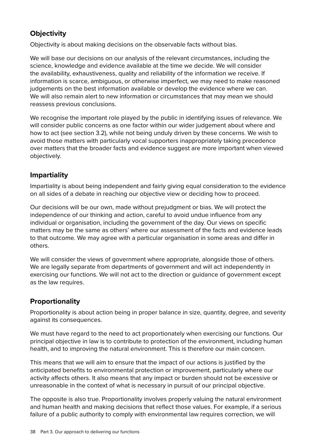# **Objectivity**

Objectivity is about making decisions on the observable facts without bias.

We will base our decisions on our analysis of the relevant circumstances, including the science, knowledge and evidence available at the time we decide. We will consider the availability, exhaustiveness, quality and reliability of the information we receive. If information is scarce, ambiguous, or otherwise imperfect, we may need to make reasoned judgements on the best information available or develop the evidence where we can. We will also remain alert to new information or circumstances that may mean we should reassess previous conclusions.

We recognise the important role played by the public in identifying issues of relevance. We will consider public concerns as one factor within our wider judgement about where and how to act (see section 3.2), while not being unduly driven by these concerns. We wish to avoid those matters with particularly vocal supporters inappropriately taking precedence over matters that the broader facts and evidence suggest are more important when viewed objectively.

# **Impartiality**

Impartiality is about being independent and fairly giving equal consideration to the evidence on all sides of a debate in reaching our objective view or deciding how to proceed.

Our decisions will be our own, made without prejudgment or bias. We will protect the independence of our thinking and action, careful to avoid undue influence from any individual or organisation, including the government of the day. Our views on specific matters may be the same as others' where our assessment of the facts and evidence leads to that outcome. We may agree with a particular organisation in some areas and differ in others.

We will consider the views of government where appropriate, alongside those of others. We are legally separate from departments of government and will act independently in exercising our functions. We will not act to the direction or guidance of government except as the law requires.

# **Proportionality**

Proportionality is about action being in proper balance in size, quantity, degree, and severity against its consequences.

We must have regard to the need to act proportionately when exercising our functions. Our principal objective in law is to contribute to protection of the environment, including human health, and to improving the natural environment. This is therefore our main concern.

This means that we will aim to ensure that the impact of our actions is justified by the anticipated benefits to environmental protection or improvement, particularly where our activity affects others. It also means that any impact or burden should not be excessive or unreasonable in the context of what is necessary in pursuit of our principal objective.

The opposite is also true. Proportionality involves properly valuing the natural environment and human health and making decisions that reflect those values. For example, if a serious failure of a public authority to comply with environmental law requires correction, we will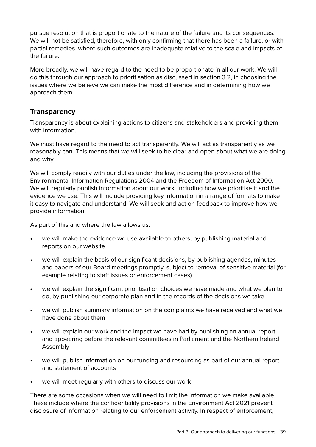pursue resolution that is proportionate to the nature of the failure and its consequences. We will not be satisfied, therefore, with only confirming that there has been a failure, or with partial remedies, where such outcomes are inadequate relative to the scale and impacts of the failure.

More broadly, we will have regard to the need to be proportionate in all our work. We will do this through our approach to prioritisation as discussed in section 3.2, in choosing the issues where we believe we can make the most difference and in determining how we approach them.

#### **Transparency**

Transparency is about explaining actions to citizens and stakeholders and providing them with information.

We must have regard to the need to act transparently. We will act as transparently as we reasonably can. This means that we will seek to be clear and open about what we are doing and why.

We will comply readily with our duties under the law, including the provisions of the Environmental Information Regulations 2004 and the Freedom of Information Act 2000. We will regularly publish information about our work, including how we prioritise it and the evidence we use. This will include providing key information in a range of formats to make it easy to navigate and understand. We will seek and act on feedback to improve how we provide information.

As part of this and where the law allows us:

- we will make the evidence we use available to others, by publishing material and reports on our website
- we will explain the basis of our significant decisions, by publishing agendas, minutes and papers of our Board meetings promptly, subject to removal of sensitive material (for example relating to staff issues or enforcement cases)
- we will explain the significant prioritisation choices we have made and what we plan to do, by publishing our corporate plan and in the records of the decisions we take
- we will publish summary information on the complaints we have received and what we have done about them
- we will explain our work and the impact we have had by publishing an annual report, and appearing before the relevant committees in Parliament and the Northern Ireland Assembly
- we will publish information on our funding and resourcing as part of our annual report and statement of accounts
- we will meet regularly with others to discuss our work

There are some occasions when we will need to limit the information we make available. These include where the confidentiality provisions in the Environment Act 2021 prevent disclosure of information relating to our enforcement activity. In respect of enforcement,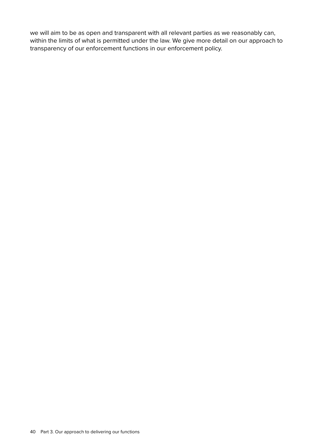we will aim to be as open and transparent with all relevant parties as we reasonably can, within the limits of what is permitted under the law. We give more detail on our approach to transparency of our enforcement functions in our enforcement policy.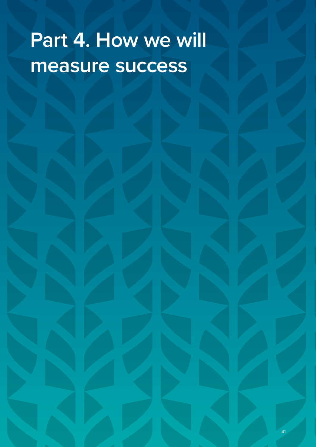# Part 4. How we will **measure success**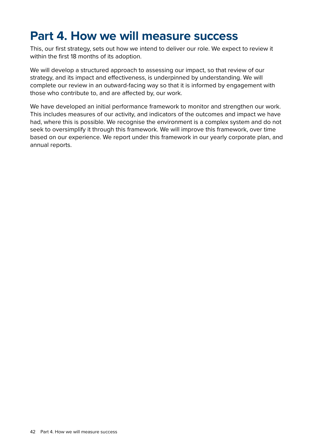# <span id="page-43-0"></span>**Part 4. How we will measure success**

This, our first strategy, sets out how we intend to deliver our role. We expect to review it within the first 18 months of its adoption.

We will develop a structured approach to assessing our impact, so that review of our strategy, and its impact and effectiveness, is underpinned by understanding. We will complete our review in an outward-facing way so that it is informed by engagement with those who contribute to, and are affected by, our work.

We have developed an initial performance framework to monitor and strengthen our work. This includes measures of our activity, and indicators of the outcomes and impact we have had, where this is possible. We recognise the environment is a complex system and do not seek to oversimplify it through this framework. We will improve this framework, over time based on our experience. We report under this framework in our yearly corporate plan, and annual reports.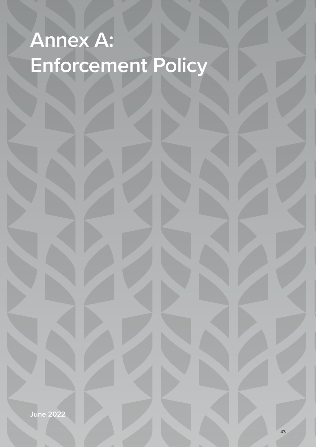# <span id="page-44-0"></span>**Annex A: Enforcement Policy**

**June 2022**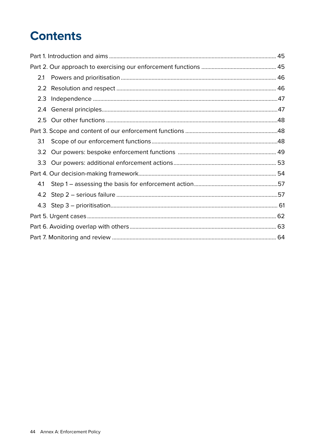# **Contents**

| 2.1              |  |  |
|------------------|--|--|
|                  |  |  |
| 2.3              |  |  |
| $2.4^{\circ}$    |  |  |
| $2.5^{\circ}$    |  |  |
|                  |  |  |
| 3.1              |  |  |
| 3.2 <sub>2</sub> |  |  |
|                  |  |  |
|                  |  |  |
| 4.1              |  |  |
|                  |  |  |
|                  |  |  |
|                  |  |  |
|                  |  |  |
|                  |  |  |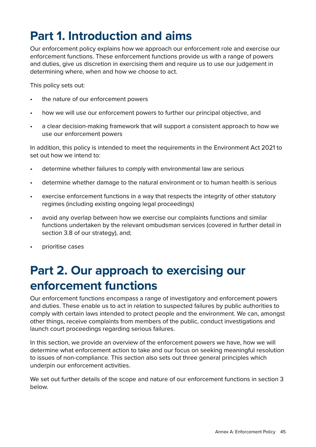# <span id="page-46-0"></span>**Part 1. Introduction and aims**

Our enforcement policy explains how we approach our enforcement role and exercise our enforcement functions. These enforcement functions provide us with a range of powers and duties, give us discretion in exercising them and require us to use our judgement in determining where, when and how we choose to act.

This policy sets out:

- the nature of our enforcement powers
- how we will use our enforcement powers to further our principal objective, and
- a clear decision-making framework that will support a consistent approach to how we use our enforcement powers

In addition, this policy is intended to meet the requirements in the Environment Act 2021 to set out how we intend to:

- determine whether failures to comply with environmental law are serious
- determine whether damage to the natural environment or to human health is serious
- exercise enforcement functions in a way that respects the integrity of other statutory regimes (including existing ongoing legal proceedings)
- avoid any overlap between how we exercise our complaints functions and similar functions undertaken by the relevant ombudsman services (covered in further detail in section 3.8 of our strategy), and;
- prioritise cases

# **Part 2. Our approach to exercising our enforcement functions**

Our enforcement functions encompass a range of investigatory and enforcement powers and duties. These enable us to act in relation to suspected failures by public authorities to comply with certain laws intended to protect people and the environment. We can, amongst other things, receive complaints from members of the public, conduct investigations and launch court proceedings regarding serious failures.

In this section, we provide an overview of the enforcement powers we have, how we will determine what enforcement action to take and our focus on seeking meaningful resolution to issues of non-compliance. This section also sets out three general principles which underpin our enforcement activities.

We set out further details of the scope and nature of our enforcement functions in section 3 below.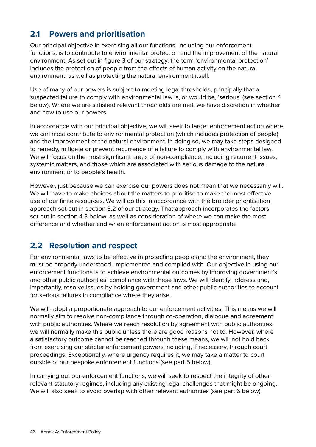# <span id="page-47-0"></span>**2.1 Powers and prioritisation**

Our principal objective in exercising all our functions, including our enforcement functions, is to contribute to environmental protection and the improvement of the natural environment. As set out in figure 3 of our strategy, the term 'environmental protection' includes the protection of people from the effects of human activity on the natural environment, as well as protecting the natural environment itself.

Use of many of our powers is subject to meeting legal thresholds, principally that a suspected failure to comply with environmental law is, or would be, 'serious' (see section 4 below). Where we are satisfied relevant thresholds are met, we have discretion in whether and how to use our powers.

In accordance with our principal objective, we will seek to target enforcement action where we can most contribute to environmental protection (which includes protection of people) and the improvement of the natural environment. In doing so, we may take steps designed to remedy, mitigate or prevent recurrence of a failure to comply with environmental law. We will focus on the most significant areas of non-compliance, including recurrent issues, systemic matters, and those which are associated with serious damage to the natural environment or to people's health.

However, just because we can exercise our powers does not mean that we necessarily will. We will have to make choices about the matters to prioritise to make the most effective use of our finite resources. We will do this in accordance with the broader prioritisation approach set out in section 3.2 of our strategy. That approach incorporates the factors set out in section 4.3 below, as well as consideration of where we can make the most difference and whether and when enforcement action is most appropriate.

# **2.2 Resolution and respect**

For environmental laws to be effective in protecting people and the environment, they must be properly understood, implemented and complied with. Our objective in using our enforcement functions is to achieve environmental outcomes by improving government's and other public authorities' compliance with these laws. We will identify, address and, importantly, resolve issues by holding government and other public authorities to account for serious failures in compliance where they arise.

We will adopt a proportionate approach to our enforcement activities. This means we will normally aim to resolve non-compliance through co-operation, dialogue and agreement with public authorities. Where we reach resolution by agreement with public authorities, we will normally make this public unless there are good reasons not to. However, where a satisfactory outcome cannot be reached through these means, we will not hold back from exercising our stricter enforcement powers including, if necessary, through court proceedings. Exceptionally, where urgency requires it, we may take a matter to court outside of our bespoke enforcement functions (see part 5 below).

In carrying out our enforcement functions, we will seek to respect the integrity of other relevant statutory regimes, including any existing legal challenges that might be ongoing. We will also seek to avoid overlap with other relevant authorities (see part 6 below).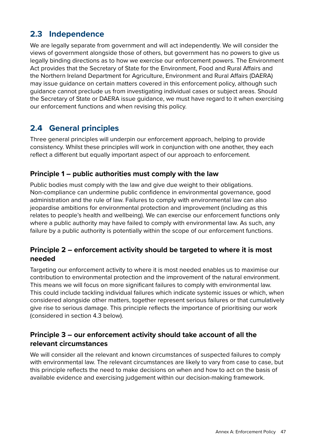# <span id="page-48-0"></span>**2.3 Independence**

We are legally separate from government and will act independently. We will consider the views of government alongside those of others, but government has no powers to give us legally binding directions as to how we exercise our enforcement powers. The Environment Act provides that the Secretary of State for the Environment, Food and Rural Affairs and the Northern Ireland Department for Agriculture, Environment and Rural Affairs (DAERA) may issue guidance on certain matters covered in this enforcement policy, although such guidance cannot preclude us from investigating individual cases or subject areas. Should the Secretary of State or DAERA issue guidance, we must have regard to it when exercising our enforcement functions and when revising this policy.

# **2.4 General principles**

Three general principles will underpin our enforcement approach, helping to provide consistency. Whilst these principles will work in conjunction with one another, they each reflect a different but equally important aspect of our approach to enforcement.

## **Principle 1 – public authorities must comply with the law**

Public bodies must comply with the law and give due weight to their obligations. Non-compliance can undermine public confidence in environmental governance, good administration and the rule of law. Failures to comply with environmental law can also jeopardise ambitions for environmental protection and improvement (including as this relates to people's health and wellbeing). We can exercise our enforcement functions only where a public authority may have failed to comply with environmental law. As such, any failure by a public authority is potentially within the scope of our enforcement functions.

## **Principle 2 – enforcement activity should be targeted to where it is most needed**

Targeting our enforcement activity to where it is most needed enables us to maximise our contribution to environmental protection and the improvement of the natural environment. This means we will focus on more significant failures to comply with environmental law. This could include tackling individual failures which indicate systemic issues or which, when considered alongside other matters, together represent serious failures or that cumulatively give rise to serious damage. This principle reflects the importance of prioritising our work (considered in section 4.3 below).

## **Principle 3 – our enforcement activity should take account of all the relevant circumstances**

We will consider all the relevant and known circumstances of suspected failures to comply with environmental law. The relevant circumstances are likely to vary from case to case, but this principle reflects the need to make decisions on when and how to act on the basis of available evidence and exercising judgement within our decision-making framework.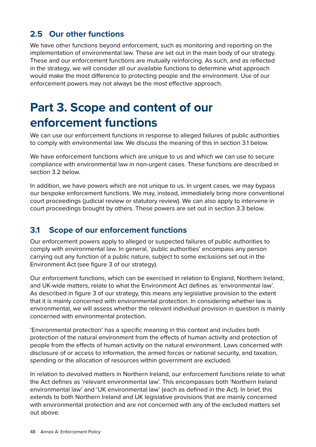# <span id="page-49-0"></span>**2.5 Our other functions**

We have other functions beyond enforcement, such as monitoring and reporting on the implementation of environmental law. These are set out in the main body of our strategy. These and our enforcement functions are mutually reinforcing. As such, and as reflected in the strategy, we will consider all our available functions to determine what approach would make the most difference to protecting people and the environment. Use of our enforcement powers may not always be the most effective approach.

# **Part 3. Scope and content of our enforcement functions**

We can use our enforcement functions in response to alleged failures of public authorities to comply with environmental law. We discuss the meaning of this in section 3.1 below.

We have enforcement functions which are unique to us and which we can use to secure compliance with environmental law in non-urgent cases. These functions are described in section 3.2 below.

In addition, we have powers which are not unique to us. In urgent cases, we may bypass our bespoke enforcement functions. We may, instead, immediately bring more conventional court proceedings (judicial review or statutory review). We can also apply to intervene in court proceedings brought by others. These powers are set out in section 3.3 below.

# **3.1 Scope of our enforcement functions**

Our enforcement powers apply to alleged or suspected failures of public authorities to comply with environmental law. In general, 'public authorities' encompass any person carrying out any function of a public nature, subject to some exclusions set out in the Environment Act (see figure 3 of our strategy).

Our enforcement functions, which can be exercised in relation to England, Northern Ireland, and UK-wide matters, relate to what the Environment Act defines as 'environmental law'. As described in figure 3 of our strategy, this means any legislative provision to the extent that it is mainly concerned with environmental protection. In considering whether law is environmental, we will assess whether the relevant individual provision in question is mainly concerned with environmental protection.

'Environmental protection' has a specific meaning in this context and includes both protection of the natural environment from the effects of human activity and protection of people from the effects of human activity on the natural environment. Laws concerned with disclosure of or access to information, the armed forces or national security, and taxation, spending or the allocation of resources within government are excluded.

In relation to devolved matters in Northern Ireland, our enforcement functions relate to what the Act defines as 'relevant environmental law'. This encompasses both 'Northern Ireland environmental law' and 'UK environmental law' (each as defined in the Act). In brief, this extends to both Northern Ireland and UK legislative provisions that are mainly concerned with environmental protection and are not concerned with any of the excluded matters set out above.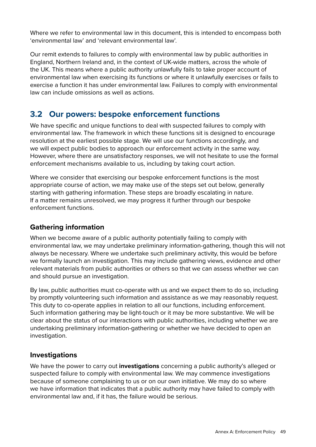<span id="page-50-0"></span>Where we refer to environmental law in this document, this is intended to encompass both 'environmental law' and 'relevant environmental law'.

Our remit extends to failures to comply with environmental law by public authorities in England, Northern Ireland and, in the context of UK-wide matters, across the whole of the UK. This means where a public authority unlawfully fails to take proper account of environmental law when exercising its functions or where it unlawfully exercises or fails to exercise a function it has under environmental law. Failures to comply with environmental law can include omissions as well as actions.

# **3.2 Our powers: bespoke enforcement functions**

We have specific and unique functions to deal with suspected failures to comply with environmental law. The framework in which these functions sit is designed to encourage resolution at the earliest possible stage. We will use our functions accordingly, and we will expect public bodies to approach our enforcement activity in the same way. However, where there are unsatisfactory responses, we will not hesitate to use the formal enforcement mechanisms available to us, including by taking court action.

Where we consider that exercising our bespoke enforcement functions is the most appropriate course of action, we may make use of the steps set out below, generally starting with gathering information. These steps are broadly escalating in nature. If a matter remains unresolved, we may progress it further through our bespoke enforcement functions.

## **Gathering information**

When we become aware of a public authority potentially failing to comply with environmental law, we may undertake preliminary information-gathering, though this will not always be necessary. Where we undertake such preliminary activity, this would be before we formally launch an investigation. This may include gathering views, evidence and other relevant materials from public authorities or others so that we can assess whether we can and should pursue an investigation.

By law, public authorities must co-operate with us and we expect them to do so, including by promptly volunteering such information and assistance as we may reasonably request. This duty to co-operate applies in relation to all our functions, including enforcement. Such information gathering may be light-touch or it may be more substantive. We will be clear about the status of our interactions with public authorities, including whether we are undertaking preliminary information-gathering or whether we have decided to open an investigation.

#### **Investigations**

We have the power to carry out **investigations** concerning a public authority's alleged or suspected failure to comply with environmental law. We may commence investigations because of someone complaining to us or on our own initiative. We may do so where we have information that indicates that a public authority may have failed to comply with environmental law and, if it has, the failure would be serious.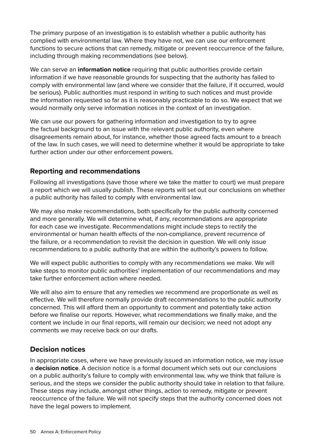The primary purpose of an investigation is to establish whether a public authority has complied with environmental law. Where they have not, we can use our enforcement functions to secure actions that can remedy, mitigate or prevent reoccurrence of the failure, including through making recommendations (see below).

We can serve an **information notice** requiring that public authorities provide certain information if we have reasonable grounds for suspecting that the authority has failed to comply with environmental law (and where we consider that the failure, if it occurred, would be serious). Public authorities must respond in writing to such notices and must provide the information requested so far as it is reasonably practicable to do so. We expect that we would normally only serve information notices in the context of an investigation.

We can use our powers for gathering information and investigation to try to agree the factual background to an issue with the relevant public authority, even where disagreements remain about, for instance, whether those agreed facts amount to a breach of the law. In such cases, we will need to determine whether it would be appropriate to take further action under our other enforcement powers.

#### **Reporting and recommendations**

Following all investigations (save those where we take the matter to court) we must prepare a report which we will usually publish. These reports will set out our conclusions on whether a public authority has failed to comply with environmental law.

We may also make recommendations, both specifically for the public authority concerned and more generally. We will determine what, if any, recommendations are appropriate for each case we investigate. Recommendations might include steps to rectify the environmental or human health effects of the non-compliance, prevent recurrence of the failure, or a recommendation to revisit the decision in question. We will only issue recommendations to a public authority that are within the authority's powers to follow.

We will expect public authorities to comply with any recommendations we make. We will take steps to monitor public authorities' implementation of our recommendations and may take further enforcement action where needed.

We will also aim to ensure that any remedies we recommend are proportionate as well as effective. We will therefore normally provide draft recommendations to the public authority concerned. This will afford them an opportunity to comment and potentially take action before we finalise our reports. However, what recommendations we finally make, and the content we include in our final reports, will remain our decision; we need not adopt any comments we may receive back on our drafts.

## **Decision notices**

In appropriate cases, where we have previously issued an information notice, we may issue a **decision notice**. A decision notice is a formal document which sets out our conclusions on a public authority's failure to comply with environmental law, why we think that failure is serious, and the steps we consider the public authority should take in relation to that failure. These steps may include, amongst other things, action to remedy, mitigate or prevent reoccurrence of the failure. We will not specify steps that the authority concerned does not have the legal powers to implement.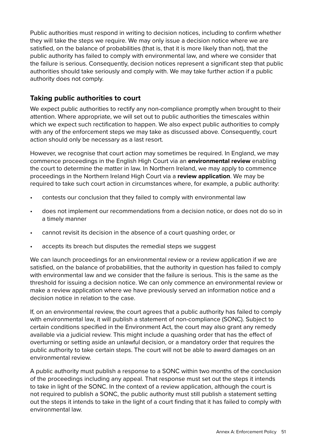Public authorities must respond in writing to decision notices, including to confirm whether they will take the steps we require. We may only issue a decision notice where we are satisfied, on the balance of probabilities (that is, that it is more likely than not), that the public authority has failed to comply with environmental law, and where we consider that the failure is serious. Consequently, decision notices represent a significant step that public authorities should take seriously and comply with. We may take further action if a public authority does not comply.

## **Taking public authorities to court**

We expect public authorities to rectify any non-compliance promptly when brought to their attention. Where appropriate, we will set out to public authorities the timescales within which we expect such rectification to happen. We also expect public authorities to comply with any of the enforcement steps we may take as discussed above. Consequently, court action should only be necessary as a last resort.

However, we recognise that court action may sometimes be required. In England, we may commence proceedings in the English High Court via an **environmental review** enabling the court to determine the matter in law. In Northern Ireland, we may apply to commence proceedings in the Northern Ireland High Court via a **review application**. We may be required to take such court action in circumstances where, for example, a public authority:

- contests our conclusion that they failed to comply with environmental law
- does not implement our recommendations from a decision notice, or does not do so in a timely manner
- cannot revisit its decision in the absence of a court quashing order, or
- accepts its breach but disputes the remedial steps we suggest

We can launch proceedings for an environmental review or a review application if we are satisfied, on the balance of probabilities, that the authority in question has failed to comply with environmental law and we consider that the failure is serious. This is the same as the threshold for issuing a decision notice. We can only commence an environmental review or make a review application where we have previously served an information notice and a decision notice in relation to the case.

If, on an environmental review, the court agrees that a public authority has failed to comply with environmental law, it will publish a statement of non-compliance (SONC). Subject to certain conditions specified in the Environment Act, the court may also grant any remedy available via a judicial review. This might include a quashing order that has the effect of overturning or setting aside an unlawful decision, or a mandatory order that requires the public authority to take certain steps. The court will not be able to award damages on an environmental review.

A public authority must publish a response to a SONC within two months of the conclusion of the proceedings including any appeal. That response must set out the steps it intends to take in light of the SONC. In the context of a review application, although the court is not required to publish a SONC, the public authority must still publish a statement setting out the steps it intends to take in the light of a court finding that it has failed to comply with environmental law.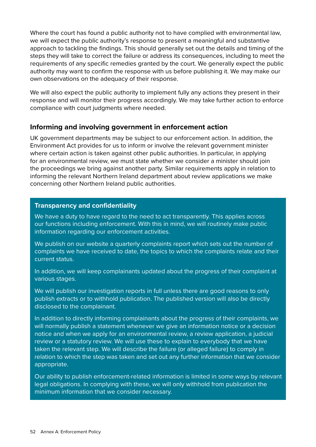Where the court has found a public authority not to have complied with environmental law, we will expect the public authority's response to present a meaningful and substantive approach to tackling the findings. This should generally set out the details and timing of the steps they will take to correct the failure or address its consequences, including to meet the requirements of any specific remedies granted by the court. We generally expect the public authority may want to confirm the response with us before publishing it. We may make our own observations on the adequacy of their response.

We will also expect the public authority to implement fully any actions they present in their response and will monitor their progress accordingly. We may take further action to enforce compliance with court judgments where needed.

#### **Informing and involving government in enforcement action**

UK government departments may be subject to our enforcement action. In addition, the Environment Act provides for us to inform or involve the relevant government minister where certain action is taken against other public authorities. In particular, in applying for an environmental review, we must state whether we consider a minister should join the proceedings we bring against another party. Similar requirements apply in relation to informing the relevant Northern Ireland department about review applications we make concerning other Northern Ireland public authorities.

#### **Transparency and confidentiality**

We have a duty to have regard to the need to act transparently. This applies across our functions including enforcement. With this in mind, we will routinely make public information regarding our enforcement activities.

We publish on our website a quarterly complaints report which sets out the number of complaints we have received to date, the topics to which the complaints relate and their current status.

In addition, we will keep complainants updated about the progress of their complaint at various stages.

We will publish our investigation reports in full unless there are good reasons to only publish extracts or to withhold publication. The published version will also be directly disclosed to the complainant.

In addition to directly informing complainants about the progress of their complaints, we will normally publish a statement whenever we give an information notice or a decision notice and when we apply for an environmental review, a review application, a judicial review or a statutory review. We will use these to explain to everybody that we have taken the relevant step. We will describe the failure (or alleged failure) to comply in relation to which the step was taken and set out any further information that we consider appropriate.

Our ability to publish enforcement-related information is limited in some ways by relevant legal obligations. In complying with these, we will only withhold from publication the minimum information that we consider necessary.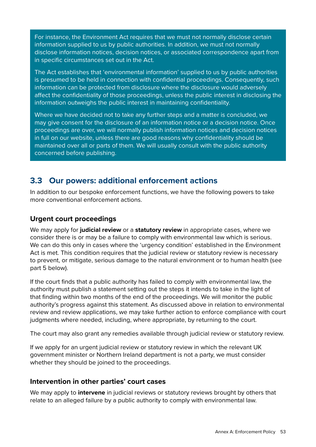<span id="page-54-0"></span>For instance, the Environment Act requires that we must not normally disclose certain information supplied to us by public authorities. In addition, we must not normally disclose information notices, decision notices, or associated correspondence apart from in specific circumstances set out in the Act.

The Act establishes that 'environmental information' supplied to us by public authorities is presumed to be held in connection with confidential proceedings. Consequently, such information can be protected from disclosure where the disclosure would adversely affect the confidentiality of those proceedings, unless the public interest in disclosing the information outweighs the public interest in maintaining confidentiality.

Where we have decided not to take any further steps and a matter is concluded, we may give consent for the disclosure of an information notice or a decision notice. Once proceedings are over, we will normally publish information notices and decision notices in full on our website, unless there are good reasons why confidentiality should be maintained over all or parts of them. We will usually consult with the public authority concerned before publishing.

# **3.3 Our powers: additional enforcement actions**

In addition to our bespoke enforcement functions, we have the following powers to take more conventional enforcement actions.

#### **Urgent court proceedings**

We may apply for **judicial review** or a **statutory review** in appropriate cases, where we consider there is or may be a failure to comply with environmental law which is serious. We can do this only in cases where the 'urgency condition' established in the Environment Act is met. This condition requires that the judicial review or statutory review is necessary to prevent, or mitigate, serious damage to the natural environment or to human health (see part 5 below).

If the court finds that a public authority has failed to comply with environmental law, the authority must publish a statement setting out the steps it intends to take in the light of that finding within two months of the end of the proceedings. We will monitor the public authority's progress against this statement. As discussed above in relation to environmental review and review applications, we may take further action to enforce compliance with court judgments where needed, including, where appropriate, by returning to the court.

The court may also grant any remedies available through judicial review or statutory review.

If we apply for an urgent judicial review or statutory review in which the relevant UK government minister or Northern Ireland department is not a party, we must consider whether they should be joined to the proceedings.

#### **Intervention in other parties' court cases**

We may apply to **intervene** in judicial reviews or statutory reviews brought by others that relate to an alleged failure by a public authority to comply with environmental law.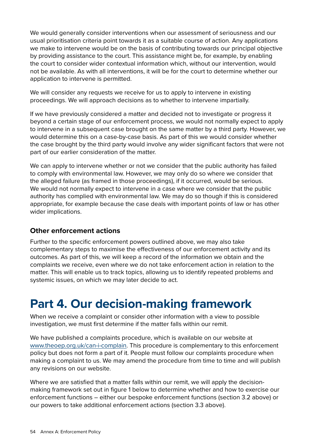<span id="page-55-0"></span>We would generally consider interventions when our assessment of seriousness and our usual prioritisation criteria point towards it as a suitable course of action. Any applications we make to intervene would be on the basis of contributing towards our principal objective by providing assistance to the court. This assistance might be, for example, by enabling the court to consider wider contextual information which, without our intervention, would not be available. As with all interventions, it will be for the court to determine whether our application to intervene is permitted.

We will consider any requests we receive for us to apply to intervene in existing proceedings. We will approach decisions as to whether to intervene impartially.

If we have previously considered a matter and decided not to investigate or progress it beyond a certain stage of our enforcement process, we would not normally expect to apply to intervene in a subsequent case brought on the same matter by a third party. However, we would determine this on a case-by-case basis. As part of this we would consider whether the case brought by the third party would involve any wider significant factors that were not part of our earlier consideration of the matter.

We can apply to intervene whether or not we consider that the public authority has failed to comply with environmental law. However, we may only do so where we consider that the alleged failure (as framed in those proceedings), if it occurred, would be serious. We would not normally expect to intervene in a case where we consider that the public authority has complied with environmental law. We may do so though if this is considered appropriate, for example because the case deals with important points of law or has other wider implications.

#### **Other enforcement actions**

Further to the specific enforcement powers outlined above, we may also take complementary steps to maximise the effectiveness of our enforcement activity and its outcomes. As part of this, we will keep a record of the information we obtain and the complaints we receive, even where we do not take enforcement action in relation to the matter. This will enable us to track topics, allowing us to identify repeated problems and systemic issues, on which we may later decide to act.

# **Part 4. Our decision-making framework**

When we receive a complaint or consider other information with a view to possible investigation, we must first determine if the matter falls within our remit.

We have published a complaints procedure, which is available on our website at [www.theoep.org.uk/can-i-complain](http://www.theoep.org.uk/can-i-complain). This procedure is complementary to this enforcement policy but does not form a part of it. People must follow our complaints procedure when making a complaint to us. We may amend the procedure from time to time and will publish any revisions on our website.

Where we are satisfied that a matter falls within our remit, we will apply the decisionmaking framework set out in figure 1 below to determine whether and how to exercise our enforcement functions – either our bespoke enforcement functions (section 3.2 above) or our powers to take additional enforcement actions (section 3.3 above).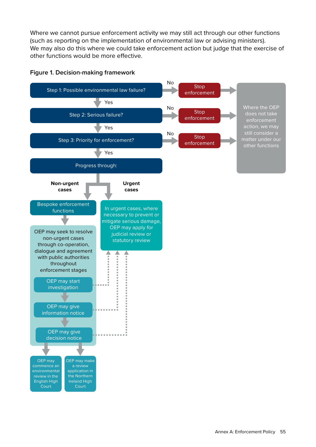Where we cannot pursue enforcement activity we may still act through our other functions (such as reporting on the implementation of environmental law or advising ministers). We may also do this where we could take enforcement action but judge that the exercise of other functions would be more effective.



#### **Figure 1. Decision-making framework**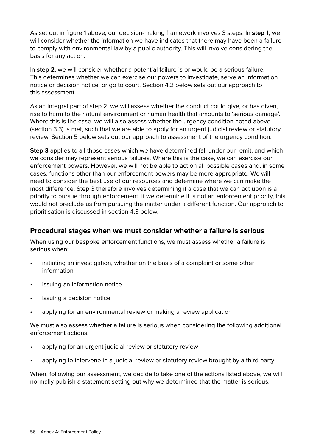As set out in figure 1 above, our decision-making framework involves 3 steps. In **step 1**, we will consider whether the information we have indicates that there may have been a failure to comply with environmental law by a public authority. This will involve considering the basis for any action.

In **step 2**, we will consider whether a potential failure is or would be a serious failure. This determines whether we can exercise our powers to investigate, serve an information notice or decision notice, or go to court. Section 4.2 below sets out our approach to this assessment.

As an integral part of step 2, we will assess whether the conduct could give, or has given, rise to harm to the natural environment or human health that amounts to 'serious damage'. Where this is the case, we will also assess whether the urgency condition noted above (section 3.3) is met, such that we are able to apply for an urgent judicial review or statutory review. Section 5 below sets out our approach to assessment of the urgency condition.

**Step 3** applies to all those cases which we have determined fall under our remit, and which we consider may represent serious failures. Where this is the case, we can exercise our enforcement powers. However, we will not be able to act on all possible cases and, in some cases, functions other than our enforcement powers may be more appropriate. We will need to consider the best use of our resources and determine where we can make the most difference. Step 3 therefore involves determining if a case that we can act upon is a priority to pursue through enforcement. If we determine it is not an enforcement priority, this would not preclude us from pursuing the matter under a different function. Our approach to prioritisation is discussed in section 4.3 below.

#### **Procedural stages when we must consider whether a failure is serious**

When using our bespoke enforcement functions, we must assess whether a failure is serious when:

- initiating an investigation, whether on the basis of a complaint or some other information
- issuing an information notice
- issuing a decision notice
- applying for an environmental review or making a review application

We must also assess whether a failure is serious when considering the following additional enforcement actions:

- applying for an urgent judicial review or statutory review
- applying to intervene in a judicial review or statutory review brought by a third party

When, following our assessment, we decide to take one of the actions listed above, we will normally publish a statement setting out why we determined that the matter is serious.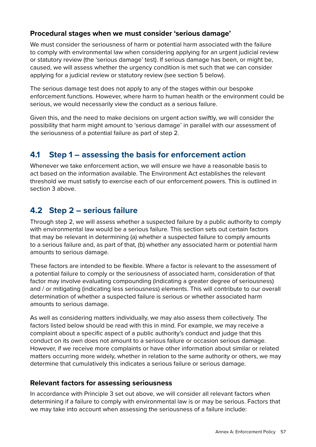## <span id="page-58-0"></span>**Procedural stages when we must consider 'serious damage'**

We must consider the seriousness of harm or potential harm associated with the failure to comply with environmental law when considering applying for an urgent judicial review or statutory review (the 'serious damage' test). If serious damage has been, or might be, caused, we will assess whether the urgency condition is met such that we can consider applying for a judicial review or statutory review (see section 5 below).

The serious damage test does not apply to any of the stages within our bespoke enforcement functions. However, where harm to human health or the environment could be serious, we would necessarily view the conduct as a serious failure.

Given this, and the need to make decisions on urgent action swiftly, we will consider the possibility that harm might amount to 'serious damage' in parallel with our assessment of the seriousness of a potential failure as part of step 2.

# **4.1 Step 1 – assessing the basis for enforcement action**

Whenever we take enforcement action, we will ensure we have a reasonable basis to act based on the information available. The Environment Act establishes the relevant threshold we must satisfy to exercise each of our enforcement powers. This is outlined in section 3 above.

# **4.2 Step 2 – serious failure**

Through step 2, we will assess whether a suspected failure by a public authority to comply with environmental law would be a serious failure. This section sets out certain factors that may be relevant in determining (a) whether a suspected failure to comply amounts to a serious failure and, as part of that, (b) whether any associated harm or potential harm amounts to serious damage.

These factors are intended to be flexible. Where a factor is relevant to the assessment of a potential failure to comply or the seriousness of associated harm, consideration of that factor may involve evaluating compounding (indicating a greater degree of seriousness) and / or mitigating (indicating less seriousness) elements. This will contribute to our overall determination of whether a suspected failure is serious or whether associated harm amounts to serious damage.

As well as considering matters individually, we may also assess them collectively. The factors listed below should be read with this in mind. For example, we may receive a complaint about a specific aspect of a public authority's conduct and judge that this conduct on its own does not amount to a serious failure or occasion serious damage. However, if we receive more complaints or have other information about similar or related matters occurring more widely, whether in relation to the same authority or others, we may determine that cumulatively this indicates a serious failure or serious damage.

## **Relevant factors for assessing seriousness**

In accordance with Principle 3 set out above, we will consider all relevant factors when determining if a failure to comply with environmental law is or may be serious. Factors that we may take into account when assessing the seriousness of a failure include: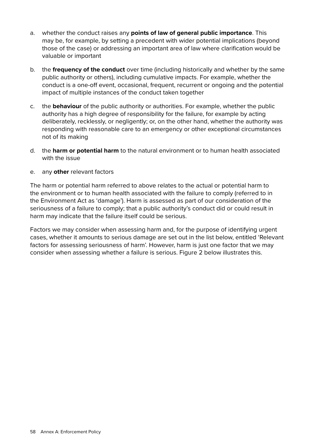- a. whether the conduct raises any **points of law of general public importance**. This may be, for example, by setting a precedent with wider potential implications (beyond those of the case) or addressing an important area of law where clarification would be valuable or important
- b. the **frequency of the conduct** over time (including historically and whether by the same public authority or others), including cumulative impacts. For example, whether the conduct is a one-off event, occasional, frequent, recurrent or ongoing and the potential impact of multiple instances of the conduct taken together
- c. the **behaviour** of the public authority or authorities. For example, whether the public authority has a high degree of responsibility for the failure, for example by acting deliberately, recklessly, or negligently; or, on the other hand, whether the authority was responding with reasonable care to an emergency or other exceptional circumstances not of its making
- d. the **harm or potential harm** to the natural environment or to human health associated with the issue
- e. any **other** relevant factors

The harm or potential harm referred to above relates to the actual or potential harm to the environment or to human health associated with the failure to comply (referred to in the Environment Act as 'damage'). Harm is assessed as part of our consideration of the seriousness of a failure to comply; that a public authority's conduct did or could result in harm may indicate that the failure itself could be serious.

Factors we may consider when assessing harm and, for the purpose of identifying urgent cases, whether it amounts to serious damage are set out in the list below, entitled 'Relevant factors for assessing seriousness of harm'. However, harm is just one factor that we may consider when assessing whether a failure is serious. Figure 2 below illustrates this.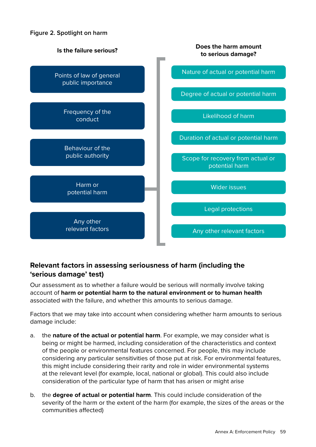#### **Figure 2. Spotlight on harm**



# **Relevant factors in assessing seriousness of harm (including the 'serious damage' test)**

Our assessment as to whether a failure would be serious will normally involve taking account of **harm or potential harm to the natural environment or to human health** associated with the failure, and whether this amounts to serious damage.

Factors that we may take into account when considering whether harm amounts to serious damage include:

- a. the **nature of the actual or potential harm**. For example, we may consider what is being or might be harmed, including consideration of the characteristics and context of the people or environmental features concerned. For people, this may include considering any particular sensitivities of those put at risk. For environmental features, this might include considering their rarity and role in wider environmental systems at the relevant level (for example, local, national or global). This could also include consideration of the particular type of harm that has arisen or might arise
- b. the **degree of actual or potential harm**. This could include consideration of the severity of the harm or the extent of the harm (for example, the sizes of the areas or the communities affected)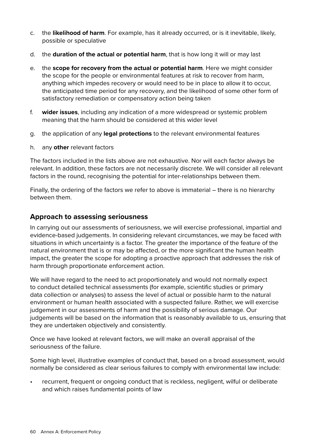- c. the **likelihood of harm**. For example, has it already occurred, or is it inevitable, likely, possible or speculative
- d. the **duration of the actual or potential harm**, that is how long it will or may last
- e. the **scope for recovery from the actual or potential harm**. Here we might consider the scope for the people or environmental features at risk to recover from harm, anything which impedes recovery or would need to be in place to allow it to occur, the anticipated time period for any recovery, and the likelihood of some other form of satisfactory remediation or compensatory action being taken
- f. **wider issues**, including any indication of a more widespread or systemic problem meaning that the harm should be considered at this wider level
- g. the application of any **legal protections** to the relevant environmental features
- h. any **other** relevant factors

The factors included in the lists above are not exhaustive. Nor will each factor always be relevant. In addition, these factors are not necessarily discrete. We will consider all relevant factors in the round, recognising the potential for inter-relationships between them.

Finally, the ordering of the factors we refer to above is immaterial – there is no hierarchy between them.

#### **Approach to assessing seriousness**

In carrying out our assessments of seriousness, we will exercise professional, impartial and evidence-based judgements. In considering relevant circumstances, we may be faced with situations in which uncertainty is a factor. The greater the importance of the feature of the natural environment that is or may be affected, or the more significant the human health impact, the greater the scope for adopting a proactive approach that addresses the risk of harm through proportionate enforcement action.

We will have regard to the need to act proportionately and would not normally expect to conduct detailed technical assessments (for example, scientific studies or primary data collection or analyses) to assess the level of actual or possible harm to the natural environment or human health associated with a suspected failure. Rather, we will exercise judgement in our assessments of harm and the possibility of serious damage. Our judgements will be based on the information that is reasonably available to us, ensuring that they are undertaken objectively and consistently.

Once we have looked at relevant factors, we will make an overall appraisal of the seriousness of the failure.

Some high level, illustrative examples of conduct that, based on a broad assessment, would normally be considered as clear serious failures to comply with environmental law include:

• recurrent, frequent or ongoing conduct that is reckless, negligent, wilful or deliberate and which raises fundamental points of law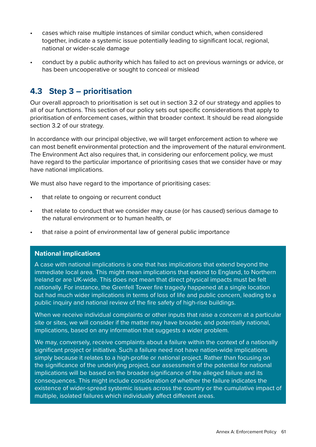- <span id="page-62-0"></span>• cases which raise multiple instances of similar conduct which, when considered together, indicate a systemic issue potentially leading to significant local, regional, national or wider-scale damage
- conduct by a public authority which has failed to act on previous warnings or advice, or has been uncooperative or sought to conceal or mislead

# **4.3 Step 3 – prioritisation**

Our overall approach to prioritisation is set out in section 3.2 of our strategy and applies to all of our functions. This section of our policy sets out specific considerations that apply to prioritisation of enforcement cases, within that broader context. It should be read alongside section 3.2 of our strategy.

In accordance with our principal objective, we will target enforcement action to where we can most benefit environmental protection and the improvement of the natural environment. The Environment Act also requires that, in considering our enforcement policy, we must have regard to the particular importance of prioritising cases that we consider have or may have national implications.

We must also have regard to the importance of prioritising cases:

- that relate to ongoing or recurrent conduct
- that relate to conduct that we consider may cause (or has caused) serious damage to the natural environment or to human health, or
- that raise a point of environmental law of general public importance

#### **National implications**

A case with national implications is one that has implications that extend beyond the immediate local area. This might mean implications that extend to England, to Northern Ireland or are UK-wide. This does not mean that direct physical impacts must be felt nationally. For instance, the Grenfell Tower fire tragedy happened at a single location but had much wider implications in terms of loss of life and public concern, leading to a public inquiry and national review of the fire safety of high-rise buildings.

When we receive individual complaints or other inputs that raise a concern at a particular site or sites, we will consider if the matter may have broader, and potentially national, implications, based on any information that suggests a wider problem.

We may, conversely, receive complaints about a failure within the context of a nationally significant project or initiative. Such a failure need not have nation-wide implications simply because it relates to a high-profile or national project. Rather than focusing on the significance of the underlying project, our assessment of the potential for national implications will be based on the broader significance of the alleged failure and its consequences. This might include consideration of whether the failure indicates the existence of wider-spread systemic issues across the country or the cumulative impact of multiple, isolated failures which individually affect different areas.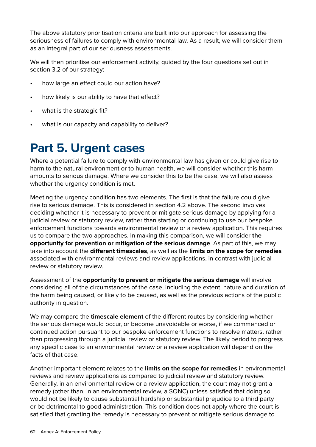<span id="page-63-0"></span>The above statutory prioritisation criteria are built into our approach for assessing the seriousness of failures to comply with environmental law. As a result, we will consider them as an integral part of our seriousness assessments.

We will then prioritise our enforcement activity, guided by the four questions set out in section 3.2 of our strategy:

- how large an effect could our action have?
- how likely is our ability to have that effect?
- what is the strategic fit?
- what is our capacity and capability to deliver?

# **Part 5. Urgent cases**

Where a potential failure to comply with environmental law has given or could give rise to harm to the natural environment or to human health, we will consider whether this harm amounts to serious damage. Where we consider this to be the case, we will also assess whether the urgency condition is met.

Meeting the urgency condition has two elements. The first is that the failure could give rise to serious damage. This is considered in section 4.2 above. The second involves deciding whether it is necessary to prevent or mitigate serious damage by applying for a judicial review or statutory review, rather than starting or continuing to use our bespoke enforcement functions towards environmental review or a review application. This requires us to compare the two approaches. In making this comparison, we will consider **the opportunity for prevention or mitigation of the serious damage**. As part of this, we may take into account the **different timescales**, as well as the **limits on the scope for remedies** associated with environmental reviews and review applications, in contrast with judicial review or statutory review.

Assessment of the **opportunity to prevent or mitigate the serious damage** will involve considering all of the circumstances of the case, including the extent, nature and duration of the harm being caused, or likely to be caused, as well as the previous actions of the public authority in question.

We may compare the **timescale element** of the different routes by considering whether the serious damage would occur, or become unavoidable or worse, if we commenced or continued action pursuant to our bespoke enforcement functions to resolve matters, rather than progressing through a judicial review or statutory review. The likely period to progress any specific case to an environmental review or a review application will depend on the facts of that case.

Another important element relates to the **limits on the scope for remedies** in environmental reviews and review applications as compared to judicial review and statutory review. Generally, in an environmental review or a review application, the court may not grant a remedy (other than, in an environmental review, a SONC) unless satisfied that doing so would not be likely to cause substantial hardship or substantial prejudice to a third party or be detrimental to good administration. This condition does not apply where the court is satisfied that granting the remedy is necessary to prevent or mitigate serious damage to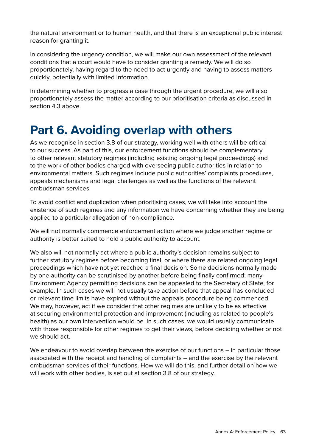<span id="page-64-0"></span>the natural environment or to human health, and that there is an exceptional public interest reason for granting it.

In considering the urgency condition, we will make our own assessment of the relevant conditions that a court would have to consider granting a remedy. We will do so proportionately, having regard to the need to act urgently and having to assess matters quickly, potentially with limited information.

In determining whether to progress a case through the urgent procedure, we will also proportionately assess the matter according to our prioritisation criteria as discussed in section 4.3 above.

# **Part 6. Avoiding overlap with others**

As we recognise in section 3.8 of our strategy, working well with others will be critical to our success. As part of this, our enforcement functions should be complementary to other relevant statutory regimes (including existing ongoing legal proceedings) and to the work of other bodies charged with overseeing public authorities in relation to environmental matters. Such regimes include public authorities' complaints procedures, appeals mechanisms and legal challenges as well as the functions of the relevant ombudsman services.

To avoid conflict and duplication when prioritising cases, we will take into account the existence of such regimes and any information we have concerning whether they are being applied to a particular allegation of non-compliance.

We will not normally commence enforcement action where we judge another regime or authority is better suited to hold a public authority to account.

We also will not normally act where a public authority's decision remains subject to further statutory regimes before becoming final, or where there are related ongoing legal proceedings which have not yet reached a final decision. Some decisions normally made by one authority can be scrutinised by another before being finally confirmed; many Environment Agency permitting decisions can be appealed to the Secretary of State, for example. In such cases we will not usually take action before that appeal has concluded or relevant time limits have expired without the appeals procedure being commenced. We may, however, act if we consider that other regimes are unlikely to be as effective at securing environmental protection and improvement (including as related to people's health) as our own intervention would be. In such cases, we would usually communicate with those responsible for other regimes to get their views, before deciding whether or not we should act.

We endeavour to avoid overlap between the exercise of our functions – in particular those associated with the receipt and handling of complaints – and the exercise by the relevant ombudsman services of their functions. How we will do this, and further detail on how we will work with other bodies, is set out at section 3.8 of our strategy.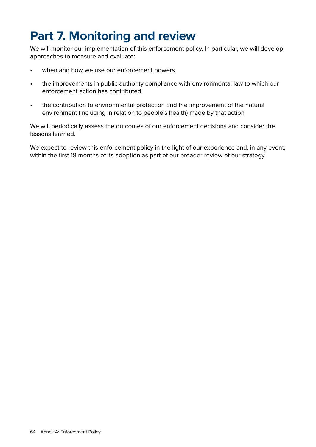# <span id="page-65-0"></span>**Part 7. Monitoring and review**

We will monitor our implementation of this enforcement policy. In particular, we will develop approaches to measure and evaluate:

- when and how we use our enforcement powers
- the improvements in public authority compliance with environmental law to which our enforcement action has contributed
- the contribution to environmental protection and the improvement of the natural environment (including in relation to people's health) made by that action

We will periodically assess the outcomes of our enforcement decisions and consider the lessons learned.

We expect to review this enforcement policy in the light of our experience and, in any event, within the first 18 months of its adoption as part of our broader review of our strategy.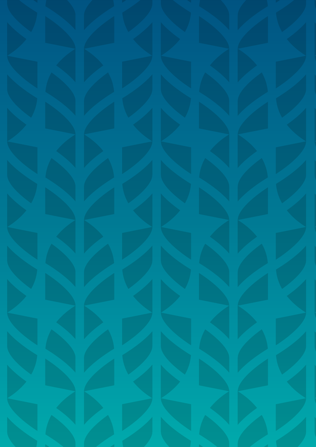